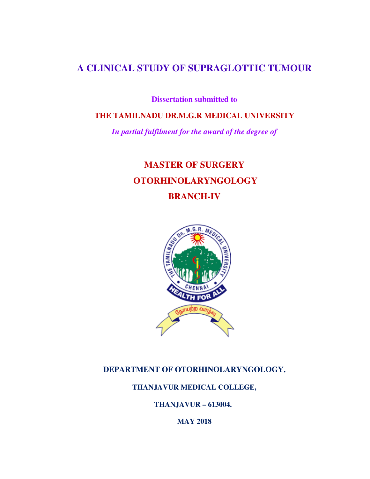# **A CLINICAL STUDY OF SUPRAGLOTTIC TUMOUR**

**Dissertation submitted to**

**THE TAMILNADU DR.M.G.R MEDICAL UNIVERSITY** 

*In partial fulfilment for the award of the degree of*

# **MASTER OF SURGERY OTORHINOLARYNGOLOGY BRANCH-IV**



# **DEPARTMENT OF OTORHINOLARYNGOLOGY,**

**THANJAVUR MEDICAL COLLEGE,** 

**THANJAVUR – 613004.** 

**MAY 2018**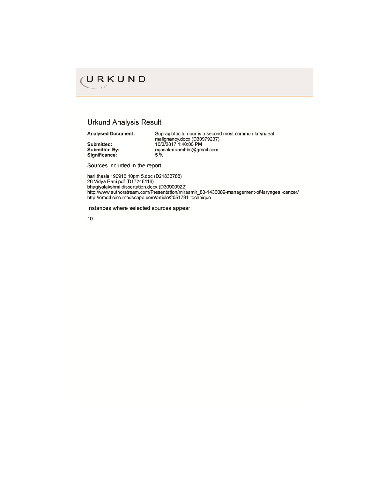

# **Urkund Analysis Result**

**Analysed Document:** 

Submitted: Submitted By: Significance:

Supraglottic tumour is a second most common laryngeal malignancy.docx (D30979237) 10/3/2017 1:40:00 PM<br>rajasekaranmbbs@gmail.com 5 %

Sources included in the report:

hari thesis 190916 10pm 5.doc (D21833788) 28 Vidya Rani.pdf (D17248118)<br>bhagiyalakshmi dissertation.docx (D30900922) http://www.authorstream.com/Presentation/miraamir\_83-1436089-management-of-laryngeal-cancer/<br>http://emedicine.medscape.com/article/2051731-technique

Instances where selected sources appear:

10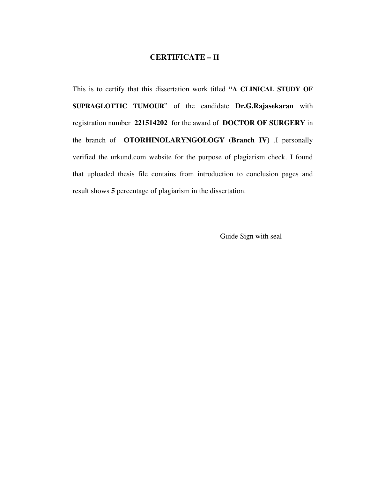### **CERTIFICATE – ІІ**

This is to certify that this dissertation work titled **"A CLINICAL STUDY OF SUPRAGLOTTIC TUMOUR**" of the candidate **Dr.G.Rajasekaran** with registration number **221514202** for the award of **DOCTOR OF SURGERY** in the branch of **OTORHINOLARYNGOLOGY (Branch IV)** .I personally verified the urkund.com website for the purpose of plagiarism check. I found that uploaded thesis file contains from introduction to conclusion pages and result shows **5** percentage of plagiarism in the dissertation.

Guide Sign with seal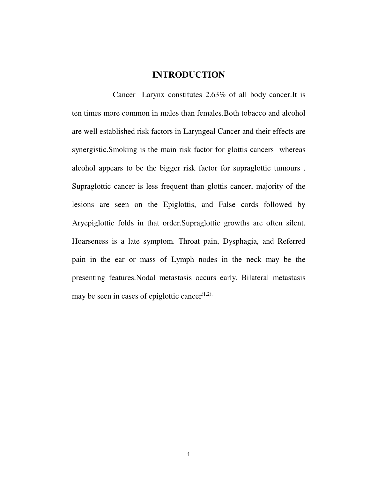# **INTRODUCTION**

 Cancer Larynx constitutes 2.63% of all body cancer.It is ten times more common in males than females.Both tobacco and alcohol are well established risk factors in Laryngeal Cancer and their effects are synergistic.Smoking is the main risk factor for glottis cancers whereas alcohol appears to be the bigger risk factor for supraglottic tumours . Supraglottic cancer is less frequent than glottis cancer, majority of the lesions are seen on the Epiglottis, and False cords followed by Aryepiglottic folds in that order.Supraglottic growths are often silent. Hoarseness is a late symptom. Throat pain, Dysphagia, and Referred pain in the ear or mass of Lymph nodes in the neck may be the presenting features.Nodal metastasis occurs early. Bilateral metastasis may be seen in cases of epiglottic cancer $(1,2)$ .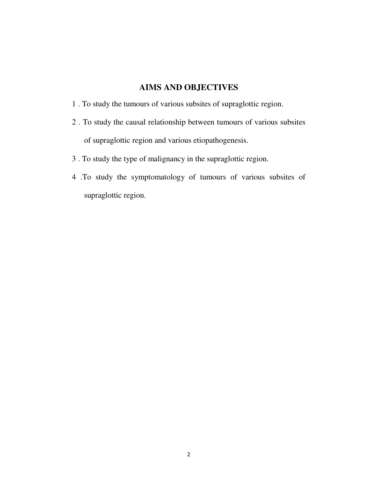# **AIMS AND OBJECTIVES**

- 1 . To study the tumours of various subsites of supraglottic region.
- 2 . To study the causal relationship between tumours of various subsites of supraglottic region and various etiopathogenesis.
- 3 . To study the type of malignancy in the supraglottic region.
- 4 .To study the symptomatology of tumours of various subsites of supraglottic region.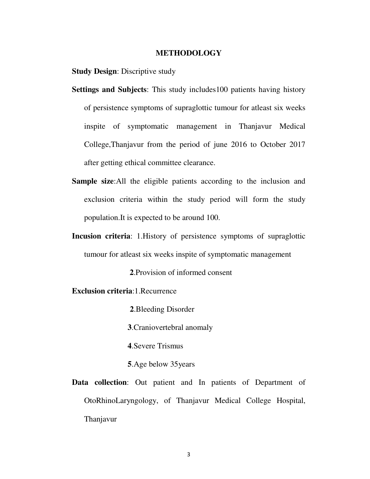#### **METHODOLOGY**

**Study Design**: Discriptive study

- **Settings and Subjects**: This study includes100 patients having history of persistence symptoms of supraglottic tumour for atleast six weeks inspite of symptomatic management in Thanjavur Medical College,Thanjavur from the period of june 2016 to October 2017 after getting ethical committee clearance.
- **Sample size**:All the eligible patients according to the inclusion and exclusion criteria within the study period will form the study population.It is expected to be around 100.
- **Incusion criteria**: 1.History of persistence symptoms of supraglottic tumour for atleast six weeks inspite of symptomatic management

 **2**.Provision of informed consent

**Exclusion criteria**:1.Recurrence

 **2**.Bleeding Disorder

 **3**.Craniovertebral anomaly

 **4**.Severe Trismus

 **5**.Age below 35years

**Data collection**: Out patient and In patients of Department of OtoRhinoLaryngology, of Thanjavur Medical College Hospital, Thanjavur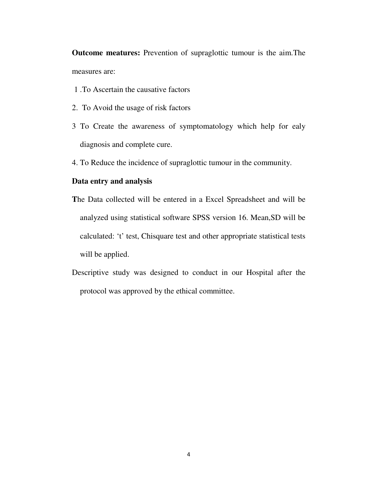**Outcome meatures:** Prevention of supraglottic tumour is the aim.The measures are:

- 1 .To Ascertain the causative factors
- 2. To Avoid the usage of risk factors
- 3 To Create the awareness of symptomatology which help for ealy diagnosis and complete cure.
- 4. To Reduce the incidence of supraglottic tumour in the community.

### **Data entry and analysis**

- **T**he Data collected will be entered in a Excel Spreadsheet and will be analyzed using statistical software SPSS version 16. Mean,SD will be calculated: 't' test, Chisquare test and other appropriate statistical tests will be applied.
- Descriptive study was designed to conduct in our Hospital after the protocol was approved by the ethical committee.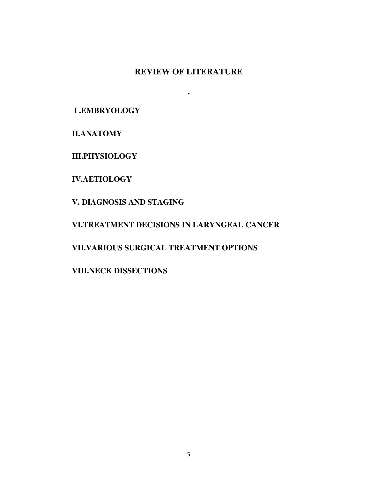# **REVIEW OF LITERATURE**

**.** 

 **I .EMBRYOLOGY** 

**II.ANATOMY** 

**III.PHYSIOLOGY** 

**IV.AETIOLOGY** 

**V. DIAGNOSIS AND STAGING** 

**VI.TREATMENT DECISIONS IN LARYNGEAL CANCER** 

**VII.VARIOUS SURGICAL TREATMENT OPTIONS** 

**VIII.NECK DISSECTIONS**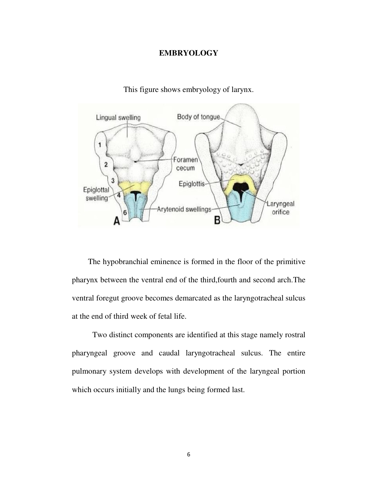#### **EMBRYOLOGY**



#### This figure shows embryology of larynx.

The hypobranchial eminence is formed in the floor of the primitive pharynx between the ventral end of the third,fourth and second arch.The ventral foregut groove becomes demarcated as the laryngotracheal sulcus at the end of third week of fetal life.

 Two distinct components are identified at this stage namely rostral pharyngeal groove and caudal laryngotracheal sulcus. The entire pulmonary system develops with development of the laryngeal portion which occurs initially and the lungs being formed last.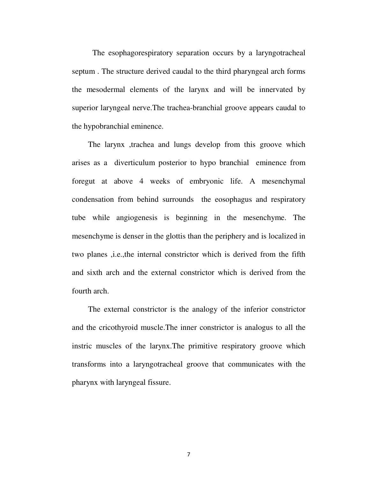The esophagorespiratory separation occurs by a laryngotracheal septum . The structure derived caudal to the third pharyngeal arch forms the mesodermal elements of the larynx and will be innervated by superior laryngeal nerve.The trachea-branchial groove appears caudal to the hypobranchial eminence.

The larynx ,trachea and lungs develop from this groove which arises as a diverticulum posterior to hypo branchial eminence from foregut at above 4 weeks of embryonic life. A mesenchymal condensation from behind surrounds the eosophagus and respiratory tube while angiogenesis is beginning in the mesenchyme. The mesenchyme is denser in the glottis than the periphery and is localized in two planes ,i.e.,the internal constrictor which is derived from the fifth and sixth arch and the external constrictor which is derived from the fourth arch.

The external constrictor is the analogy of the inferior constrictor and the cricothyroid muscle.The inner constrictor is analogus to all the instric muscles of the larynx.The primitive respiratory groove which transforms into a laryngotracheal groove that communicates with the pharynx with laryngeal fissure.

7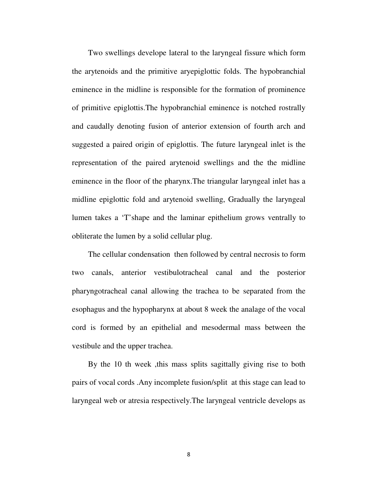Two swellings develope lateral to the laryngeal fissure which form the arytenoids and the primitive aryepiglottic folds. The hypobranchial eminence in the midline is responsible for the formation of prominence of primitive epiglottis.The hypobranchial eminence is notched rostrally and caudally denoting fusion of anterior extension of fourth arch and suggested a paired origin of epiglottis. The future laryngeal inlet is the representation of the paired arytenoid swellings and the the midline eminence in the floor of the pharynx.The triangular laryngeal inlet has a midline epiglottic fold and arytenoid swelling, Gradually the laryngeal lumen takes a 'T'shape and the laminar epithelium grows ventrally to obliterate the lumen by a solid cellular plug.

The cellular condensation then followed by central necrosis to form two canals, anterior vestibulotracheal canal and the posterior pharyngotracheal canal allowing the trachea to be separated from the esophagus and the hypopharynx at about 8 week the analage of the vocal cord is formed by an epithelial and mesodermal mass between the vestibule and the upper trachea.

By the 10 th week ,this mass splits sagittally giving rise to both pairs of vocal cords .Any incomplete fusion/split at this stage can lead to laryngeal web or atresia respectively.The laryngeal ventricle develops as

8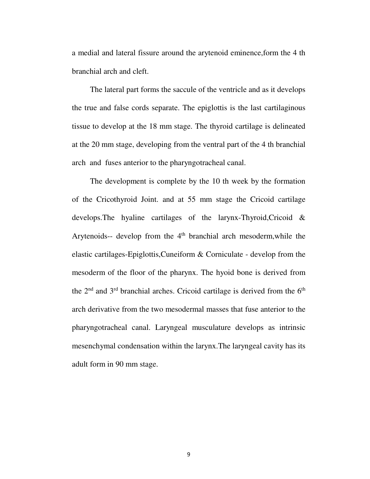a medial and lateral fissure around the arytenoid eminence,form the 4 th branchial arch and cleft.

 The lateral part forms the saccule of the ventricle and as it develops the true and false cords separate. The epiglottis is the last cartilaginous tissue to develop at the 18 mm stage. The thyroid cartilage is delineated at the 20 mm stage, developing from the ventral part of the 4 th branchial arch and fuses anterior to the pharyngotracheal canal.

 The development is complete by the 10 th week by the formation of the Cricothyroid Joint. and at 55 mm stage the Cricoid cartilage develops.The hyaline cartilages of the larynx-Thyroid,Cricoid & Arytenoids-- develop from the 4<sup>th</sup> branchial arch mesoderm, while the elastic cartilages-Epiglottis,Cuneiform & Corniculate - develop from the mesoderm of the floor of the pharynx. The hyoid bone is derived from the  $2<sup>nd</sup>$  and  $3<sup>rd</sup>$  branchial arches. Cricoid cartilage is derived from the  $6<sup>th</sup>$ arch derivative from the two mesodermal masses that fuse anterior to the pharyngotracheal canal. Laryngeal musculature develops as intrinsic mesenchymal condensation within the larynx.The laryngeal cavity has its adult form in 90 mm stage.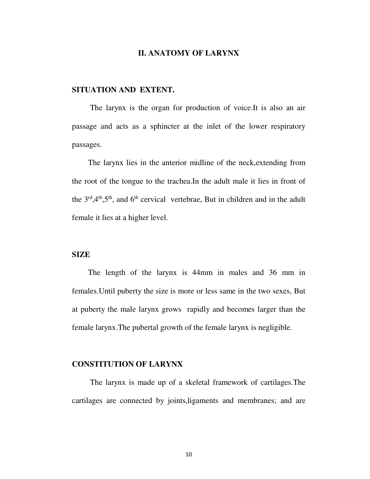#### **II. ANATOMY OF LARYNX**

# **SITUATION AND EXTENT.**

 The larynx is the organ for production of voice.It is also an air passage and acts as a sphincter at the inlet of the lower respiratory passages.

The larynx lies in the anterior midline of the neck,extending from the root of the tongue to the trachea.In the adult male it lies in front of the  $3<sup>rd</sup>,4<sup>th</sup>,5<sup>th</sup>$ , and  $6<sup>th</sup>$  cervical vertebrae, But in children and in the adult female it lies at a higher level.

#### **SIZE**

 The length of the larynx is 44mm in males and 36 mm in females.Until puberty the size is more or less same in the two sexes, But at puberty the male larynx grows rapidly and becomes larger than the female larynx.The pubertal growth of the female larynx is negligible.

#### **CONSTITUTION OF LARYNX**

 The larynx is made up of a skeletal framework of cartilages.The cartilages are connected by joints,ligaments and membranes; and are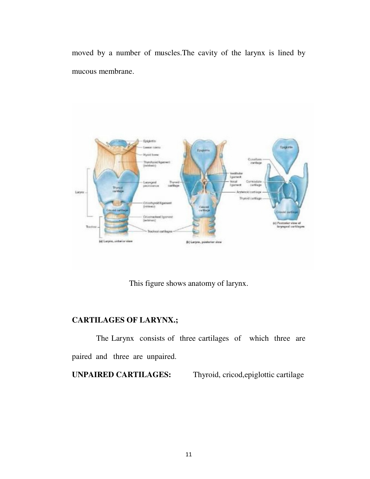moved by a number of muscles.The cavity of the larynx is lined by mucous membrane.



This figure shows anatomy of larynx.

# **CARTILAGES OF LARYNX.;**

The Larynx consists of three cartilages of which three are paired and three are unpaired.

**UNPAIRED CARTILAGES:** Thyroid, cricod,epiglottic cartilage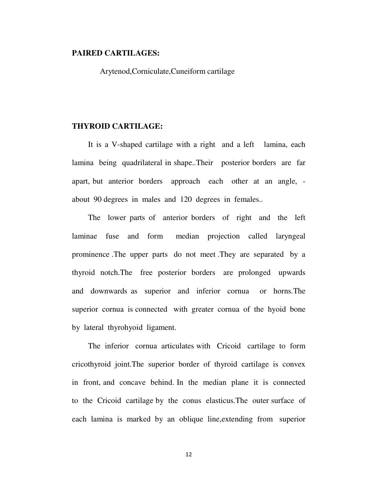#### **PAIRED CARTILAGES:**

Arytenod,Corniculate,Cuneiform cartilage

#### **THYROID CARTILAGE:**

It is a V-shaped cartilage with a right and a left lamina, each lamina being quadrilateral in shape..Their posterior borders are far apart, but anterior borders approach each other at an angle, about 90 degrees in males and 120 degrees in females..

The lower parts of anterior borders of right and the left laminae fuse and form median projection called laryngeal prominence .The upper parts do not meet .They are separated by a thyroid notch.The free posterior borders are prolonged upwards and downwards as superior and inferior cornua or horns.The superior cornua is connected with greater cornua of the hyoid bone by lateral thyrohyoid ligament.

The inferior cornua articulates with Cricoid cartilage to form cricothyroid joint.The superior border of thyroid cartilage is convex in front, and concave behind. In the median plane it is connected to the Cricoid cartilage by the conus elasticus.The outer surface of each lamina is marked by an oblique line,extending from superior

12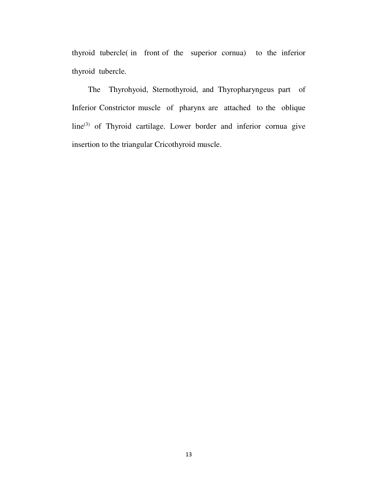thyroid tubercle( in front of the superior cornua) to the inferior thyroid tubercle.

The Thyrohyoid, Sternothyroid, and Thyropharyngeus part of Inferior Constrictor muscle of pharynx are attached to the oblique line<sup>(3)</sup> of Thyroid cartilage. Lower border and inferior cornua give insertion to the triangular Cricothyroid muscle.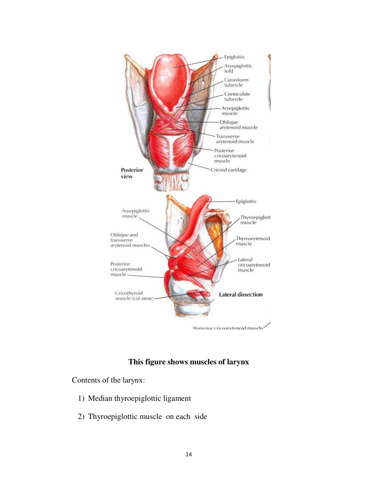

# **This figure shows muscles of larynx**

Contents of the larynx:

- 1) Median thyroepiglottic ligament
- 2) Thyroepiglottic muscle on each side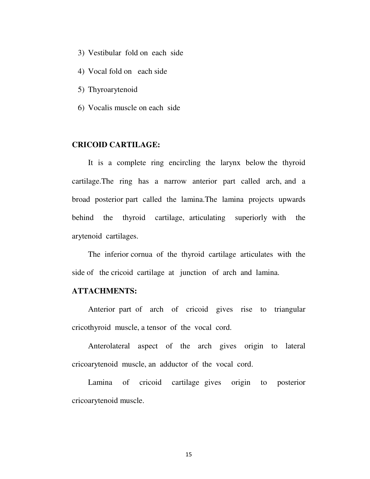- 3) Vestibular fold on each side
- 4) Vocal fold on each side
- 5) Thyroarytenoid
- 6) Vocalis muscle on each side

# **CRICOID CARTILAGE:**

It is a complete ring encircling the larynx below the thyroid cartilage.The ring has a narrow anterior part called arch, and a broad posterior part called the lamina.The lamina projects upwards behind the thyroid cartilage, articulating superiorly with the arytenoid cartilages.

The inferior cornua of the thyroid cartilage articulates with the side of the cricoid cartilage at junction of arch and lamina.

#### **ATTACHMENTS:**

Anterior part of arch of cricoid gives rise to triangular cricothyroid muscle, a tensor of the vocal cord.

Anterolateral aspect of the arch gives origin to lateral cricoarytenoid muscle, an adductor of the vocal cord.

Lamina of cricoid cartilage gives origin to posterior cricoarytenoid muscle.

15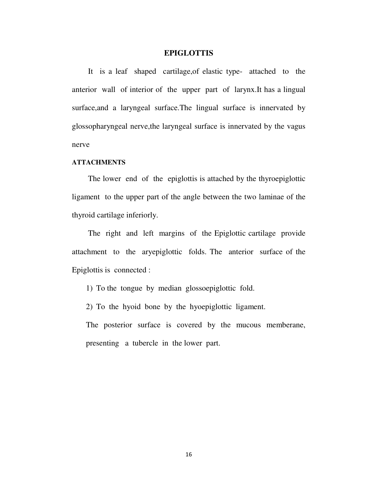#### **EPIGLOTTIS**

It is a leaf shaped cartilage,of elastic type- attached to the anterior wall of interior of the upper part of larynx.It has a lingual surface,and a laryngeal surface.The lingual surface is innervated by glossopharyngeal nerve,the laryngeal surface is innervated by the vagus nerve

#### **ATTACHMENTS**

The lower end of the epiglottis is attached by the thyroepiglottic ligament to the upper part of the angle between the two laminae of the thyroid cartilage inferiorly.

The right and left margins of the Epiglottic cartilage provide attachment to the aryepiglottic folds. The anterior surface of the Epiglottis is connected :

1) To the tongue by median glossoepiglottic fold.

2) To the hyoid bone by the hyoepiglottic ligament.

The posterior surface is covered by the mucous memberane, presenting a tubercle in the lower part.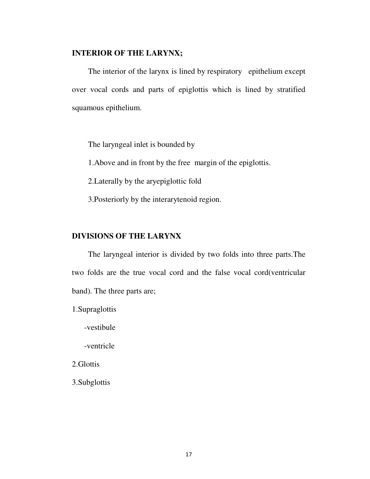# **INTERIOR OF THE LARYNX;**

The interior of the larynx is lined by respiratory epithelium except over vocal cords and parts of epiglottis which is lined by stratified squamous epithelium.

The laryngeal inlet is bounded by

1.Above and in front by the free margin of the epiglottis.

2.Laterally by the aryepiglottic fold

3.Posteriorly by the interarytenoid region.

# **DIVISIONS OF THE LARYNX**

 The laryngeal interior is divided by two folds into three parts.The two folds are the true vocal cord and the false vocal cord(ventricular band). The three parts are;

1.Supraglottis

-vestibule

-ventricle

2.Glottis

3.Subglottis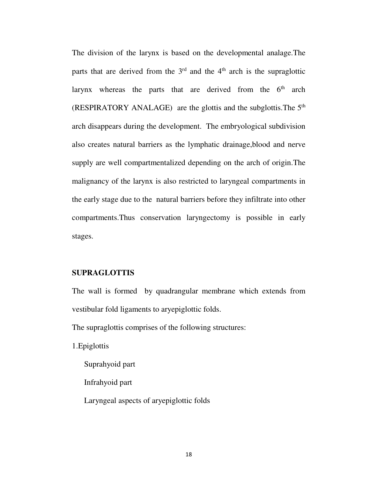The division of the larynx is based on the developmental analage.The parts that are derived from the  $3<sup>rd</sup>$  and the  $4<sup>th</sup>$  arch is the supraglottic larynx whereas the parts that are derived from the  $6<sup>th</sup>$  arch (RESPIRATORY ANALAGE) are the glottis and the subglottis. The  $5<sup>th</sup>$ arch disappears during the development. The embryological subdivision also creates natural barriers as the lymphatic drainage,blood and nerve supply are well compartmentalized depending on the arch of origin.The malignancy of the larynx is also restricted to laryngeal compartments in the early stage due to the natural barriers before they infiltrate into other compartments.Thus conservation laryngectomy is possible in early stages.

### **SUPRAGLOTTIS**

The wall is formed by quadrangular membrane which extends from vestibular fold ligaments to aryepiglottic folds.

The supraglottis comprises of the following structures:

1.Epiglottis

Suprahyoid part

Infrahyoid part

Laryngeal aspects of aryepiglottic folds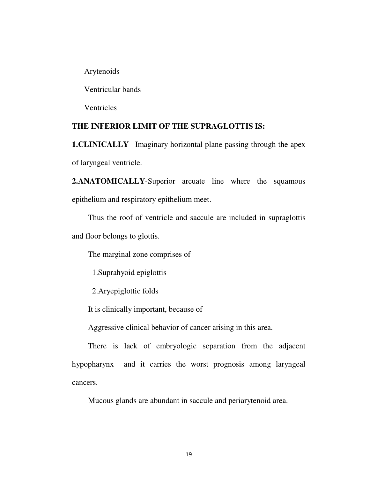Arytenoids

Ventricular bands

Ventricles

#### **THE INFERIOR LIMIT OF THE SUPRAGLOTTIS IS:**

**1.CLINICALLY** –Imaginary horizontal plane passing through the apex of laryngeal ventricle.

**2.ANATOMICALLY**-Superior arcuate line where the squamous epithelium and respiratory epithelium meet.

Thus the roof of ventricle and saccule are included in supraglottis and floor belongs to glottis.

The marginal zone comprises of

1.Suprahyoid epiglottis

2.Aryepiglottic folds

It is clinically important, because of

Aggressive clinical behavior of cancer arising in this area.

There is lack of embryologic separation from the adjacent hypopharynx and it carries the worst prognosis among laryngeal cancers.

Mucous glands are abundant in saccule and periarytenoid area.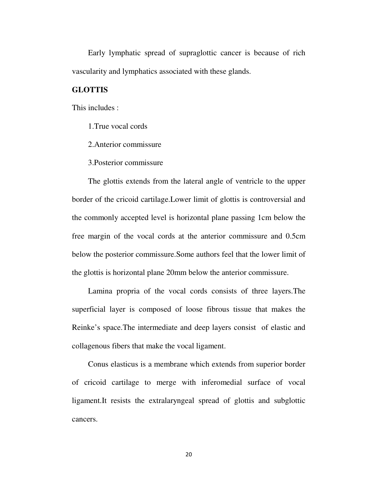Early lymphatic spread of supraglottic cancer is because of rich vascularity and lymphatics associated with these glands.

#### **GLOTTIS**

This includes :

1.True vocal cords

2.Anterior commissure

3.Posterior commissure

The glottis extends from the lateral angle of ventricle to the upper border of the cricoid cartilage.Lower limit of glottis is controversial and the commonly accepted level is horizontal plane passing 1cm below the free margin of the vocal cords at the anterior commissure and 0.5cm below the posterior commissure.Some authors feel that the lower limit of the glottis is horizontal plane 20mm below the anterior commissure.

Lamina propria of the vocal cords consists of three layers.The superficial layer is composed of loose fibrous tissue that makes the Reinke's space.The intermediate and deep layers consist of elastic and collagenous fibers that make the vocal ligament.

Conus elasticus is a membrane which extends from superior border of cricoid cartilage to merge with inferomedial surface of vocal ligament.It resists the extralaryngeal spread of glottis and subglottic cancers.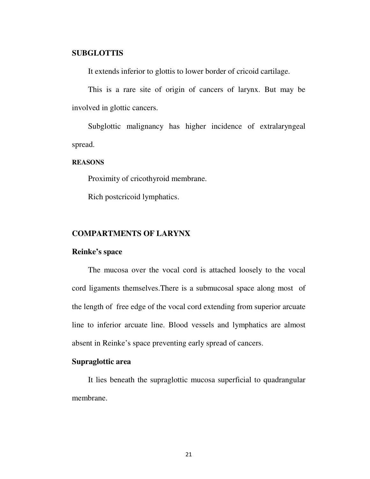#### **SUBGLOTTIS**

It extends inferior to glottis to lower border of cricoid cartilage.

This is a rare site of origin of cancers of larynx. But may be involved in glottic cancers.

Subglottic malignancy has higher incidence of extralaryngeal spread.

#### **REASONS**

Proximity of cricothyroid membrane.

Rich postcricoid lymphatics.

#### **COMPARTMENTS OF LARYNX**

#### **Reinke's space**

The mucosa over the vocal cord is attached loosely to the vocal cord ligaments themselves.There is a submucosal space along most of the length of free edge of the vocal cord extending from superior arcuate line to inferior arcuate line. Blood vessels and lymphatics are almost absent in Reinke's space preventing early spread of cancers.

### **Supraglottic area**

It lies beneath the supraglottic mucosa superficial to quadrangular membrane.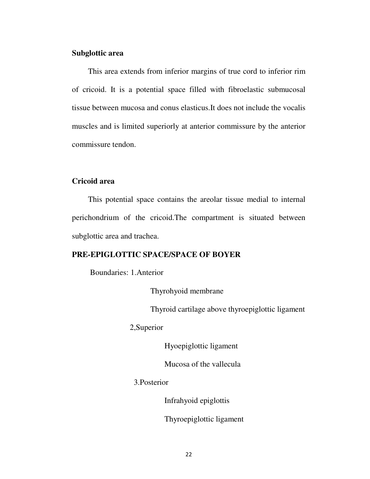#### **Subglottic area**

This area extends from inferior margins of true cord to inferior rim of cricoid. It is a potential space filled with fibroelastic submucosal tissue between mucosa and conus elasticus.It does not include the vocalis muscles and is limited superiorly at anterior commissure by the anterior commissure tendon.

# **Cricoid area**

This potential space contains the areolar tissue medial to internal perichondrium of the cricoid.The compartment is situated between subglottic area and trachea.

#### **PRE-EPIGLOTTIC SPACE/SPACE OF BOYER**

Boundaries: 1.Anterior

Thyrohyoid membrane

Thyroid cartilage above thyroepiglottic ligament

#### 2,Superior

Hyoepiglottic ligament

Mucosa of the vallecula

3.Posterior

Infrahyoid epiglottis

Thyroepiglottic ligament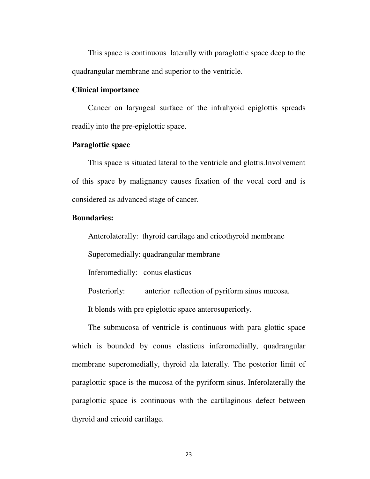This space is continuous laterally with paraglottic space deep to the quadrangular membrane and superior to the ventricle.

#### **Clinical importance**

Cancer on laryngeal surface of the infrahyoid epiglottis spreads readily into the pre-epiglottic space.

#### **Paraglottic space**

This space is situated lateral to the ventricle and glottis.Involvement of this space by malignancy causes fixation of the vocal cord and is considered as advanced stage of cancer.

#### **Boundaries:**

Anterolaterally: thyroid cartilage and cricothyroid membrane

Superomedially: quadrangular membrane

Inferomedially: conus elasticus

Posteriorly: anterior reflection of pyriform sinus mucosa.

It blends with pre epiglottic space anterosuperiorly.

The submucosa of ventricle is continuous with para glottic space which is bounded by conus elasticus inferomedially, quadrangular membrane superomedially, thyroid ala laterally. The posterior limit of paraglottic space is the mucosa of the pyriform sinus. Inferolaterally the paraglottic space is continuous with the cartilaginous defect between thyroid and cricoid cartilage.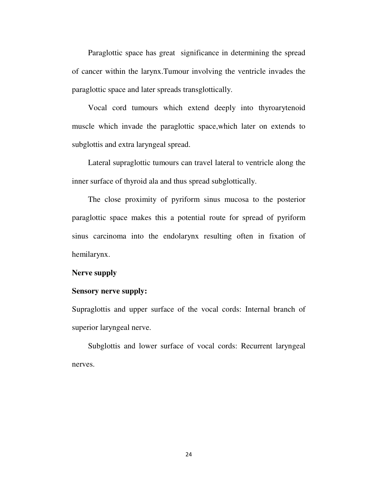Paraglottic space has great significance in determining the spread of cancer within the larynx.Tumour involving the ventricle invades the paraglottic space and later spreads transglottically.

Vocal cord tumours which extend deeply into thyroarytenoid muscle which invade the paraglottic space,which later on extends to subglottis and extra laryngeal spread.

Lateral supraglottic tumours can travel lateral to ventricle along the inner surface of thyroid ala and thus spread subglottically.

The close proximity of pyriform sinus mucosa to the posterior paraglottic space makes this a potential route for spread of pyriform sinus carcinoma into the endolarynx resulting often in fixation of hemilarynx.

### **Nerve supply**

#### **Sensory nerve supply:**

Supraglottis and upper surface of the vocal cords: Internal branch of superior laryngeal nerve.

Subglottis and lower surface of vocal cords: Recurrent laryngeal nerves.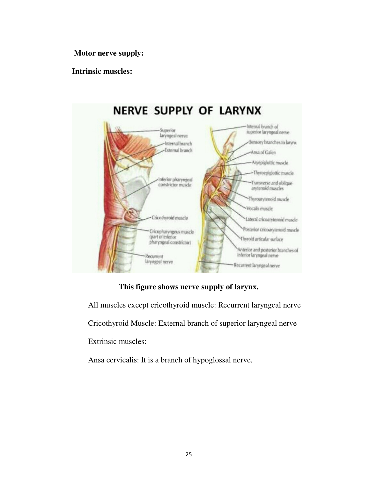**Motor nerve supply:** 

# **Intrinsic muscles:**



**This figure shows nerve supply of larynx.** 

All muscles except cricothyroid muscle: Recurrent laryngeal nerve Cricothyroid Muscle: External branch of superior laryngeal nerve Extrinsic muscles:

Ansa cervicalis: It is a branch of hypoglossal nerve.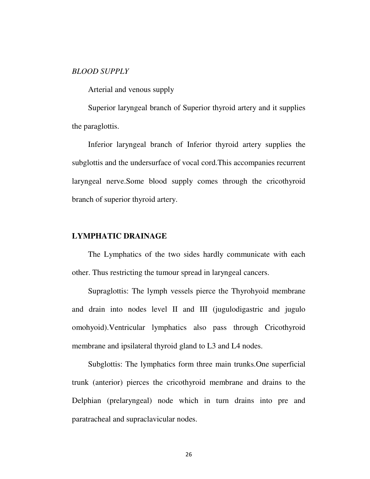#### *BLOOD SUPPLY*

Arterial and venous supply

Superior laryngeal branch of Superior thyroid artery and it supplies the paraglottis.

Inferior laryngeal branch of Inferior thyroid artery supplies the subglottis and the undersurface of vocal cord.This accompanies recurrent laryngeal nerve.Some blood supply comes through the cricothyroid branch of superior thyroid artery.

### **LYMPHATIC DRAINAGE**

The Lymphatics of the two sides hardly communicate with each other. Thus restricting the tumour spread in laryngeal cancers.

Supraglottis: The lymph vessels pierce the Thyrohyoid membrane and drain into nodes level II and III (jugulodigastric and jugulo omohyoid).Ventricular lymphatics also pass through Cricothyroid membrane and ipsilateral thyroid gland to L3 and L4 nodes.

Subglottis: The lymphatics form three main trunks.One superficial trunk (anterior) pierces the cricothyroid membrane and drains to the Delphian (prelaryngeal) node which in turn drains into pre and paratracheal and supraclavicular nodes.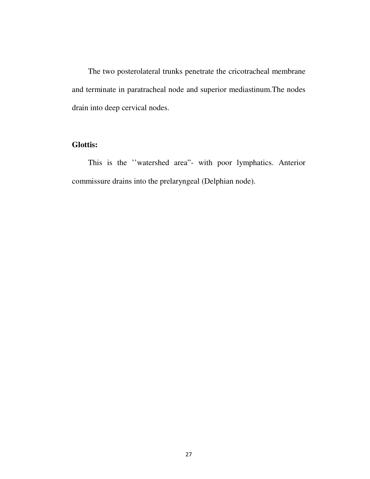The two posterolateral trunks penetrate the cricotracheal membrane and terminate in paratracheal node and superior mediastinum.The nodes drain into deep cervical nodes.

# **Glottis:**

This is the ''watershed area"- with poor lymphatics. Anterior commissure drains into the prelaryngeal (Delphian node).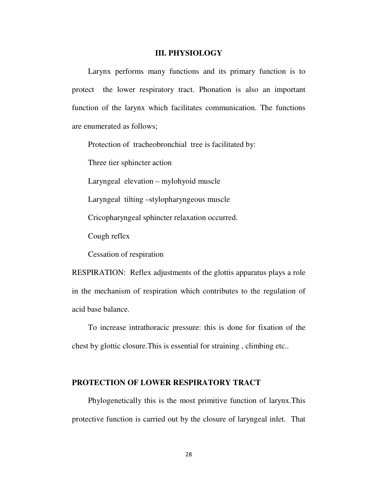#### **III. PHYSIOLOGY**

Larynx performs many functions and its primary function is to protect the lower respiratory tract. Phonation is also an important function of the larynx which facilitates communication. The functions are enumerated as follows;

Protection of tracheobronchial tree is facilitated by:

Three tier sphincter action

Laryngeal elevation – mylohyoid muscle

Laryngeal tilting –stylopharyngeous muscle

Cricopharyngeal sphincter relaxation occurred.

Cough reflex

Cessation of respiration

RESPIRATION: Reflex adjustments of the glottis apparatus plays a role in the mechanism of respiration which contributes to the regulation of acid base balance.

To increase intrathoracic pressure: this is done for fixation of the chest by glottic closure.This is essential for straining , climbing etc..

#### **PROTECTION OF LOWER RESPIRATORY TRACT**

Phylogenetically this is the most primitive function of larynx.This protective function is carried out by the closure of laryngeal inlet. That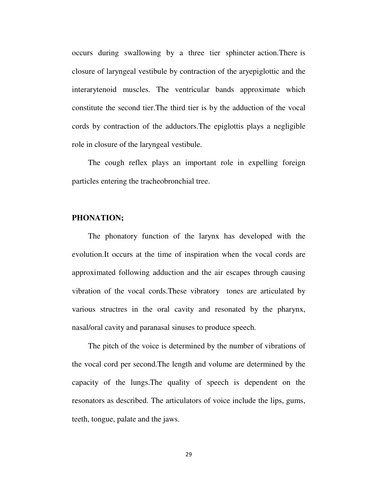occurs during swallowing by a three tier sphincter action.There is closure of laryngeal vestibule by contraction of the aryepiglottic and the interarytenoid muscles. The ventricular bands approximate which constitute the second tier.The third tier is by the adduction of the vocal cords by contraction of the adductors.The epiglottis plays a negligible role in closure of the laryngeal vestibule.

The cough reflex plays an important role in expelling foreign particles entering the tracheobronchial tree.

# **PHONATION;**

 The phonatory function of the larynx has developed with the evolution.It occurs at the time of inspiration when the vocal cords are approximated following adduction and the air escapes through causing vibration of the vocal cords.These vibratory tones are articulated by various structres in the oral cavity and resonated by the pharynx, nasal/oral cavity and paranasal sinuses to produce speech.

The pitch of the voice is determined by the number of vibrations of the vocal cord per second.The length and volume are determined by the capacity of the lungs.The quality of speech is dependent on the resonators as described. The articulators of voice include the lips, gums, teeth, tongue, palate and the jaws.

29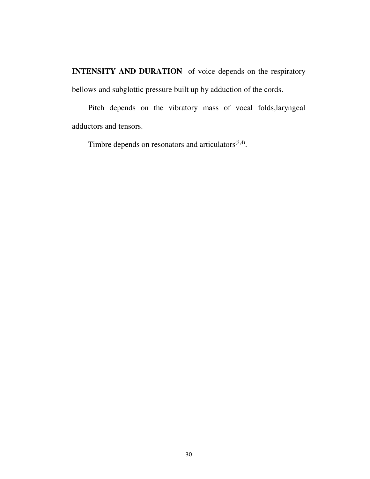**INTENSITY AND DURATION** of voice depends on the respiratory bellows and subglottic pressure built up by adduction of the cords.

Pitch depends on the vibratory mass of vocal folds,laryngeal adductors and tensors.

Timbre depends on resonators and articulators $(3,4)$ .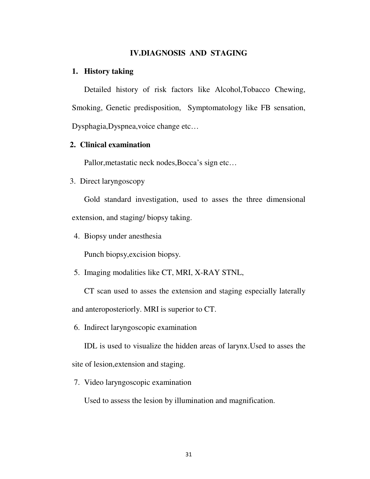#### **IV.DIAGNOSIS AND STAGING**

#### **1. History taking**

Detailed history of risk factors like Alcohol,Tobacco Chewing, Smoking, Genetic predisposition, Symptomatology like FB sensation, Dysphagia,Dyspnea,voice change etc…

# **2. Clinical examination**

Pallor,metastatic neck nodes,Bocca's sign etc…

3. Direct laryngoscopy

Gold standard investigation, used to asses the three dimensional extension, and staging/ biopsy taking.

4. Biopsy under anesthesia

Punch biopsy,excision biopsy.

5. Imaging modalities like CT, MRI, X-RAY STNL,

CT scan used to asses the extension and staging especially laterally and anteroposteriorly. MRI is superior to CT.

6. Indirect laryngoscopic examination

IDL is used to visualize the hidden areas of larynx.Used to asses the site of lesion,extension and staging.

7. Video laryngoscopic examination

Used to assess the lesion by illumination and magnification.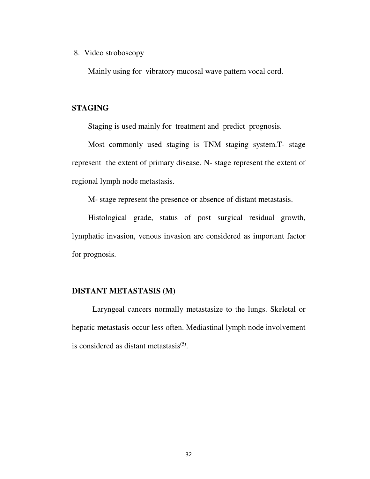8. Video stroboscopy

Mainly using for vibratory mucosal wave pattern vocal cord.

# **STAGING**

Staging is used mainly for treatment and predict prognosis.

Most commonly used staging is TNM staging system.T- stage represent the extent of primary disease. N- stage represent the extent of regional lymph node metastasis.

M- stage represent the presence or absence of distant metastasis.

Histological grade, status of post surgical residual growth, lymphatic invasion, venous invasion are considered as important factor for prognosis.

#### **DISTANT METASTASIS (M)**

Laryngeal cancers normally metastasize to the lungs. Skeletal or hepatic metastasis occur less often. Mediastinal lymph node involvement is considered as distant metastasis $(5)$ .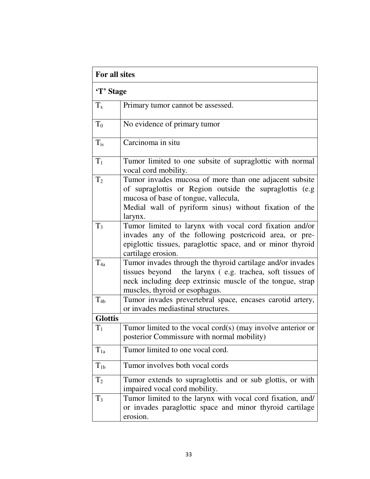| For all sites  |                                                                                                                                                                                                                                |  |
|----------------|--------------------------------------------------------------------------------------------------------------------------------------------------------------------------------------------------------------------------------|--|
| 'T' Stage      |                                                                                                                                                                                                                                |  |
| $T_{x}$        | Primary tumor cannot be assessed.                                                                                                                                                                                              |  |
| $T_0$          | No evidence of primary tumor                                                                                                                                                                                                   |  |
| $T_{is}$       | Carcinoma in situ                                                                                                                                                                                                              |  |
| $T_1$          | Tumor limited to one subsite of supraglottic with normal<br>vocal cord mobility.                                                                                                                                               |  |
| $T_2$          | Tumor invades mucosa of more than one adjacent subsite<br>of supraglottis or Region outside the supraglottis (e.g<br>mucosa of base of tongue, vallecula,<br>Medial wall of pyriform sinus) without fixation of the<br>larynx. |  |
| $T_3$          | Tumor limited to larynx with vocal cord fixation and/or<br>invades any of the following postcricoid area, or pre-<br>epiglottic tissues, paraglottic space, and or minor thyroid<br>cartilage erosion.                         |  |
| $T_{4a}$       | Tumor invades through the thyroid cartilage and/or invades<br>tissues beyond the larynx (e.g. trachea, soft tissues of<br>neck including deep extrinsic muscle of the tongue, strap<br>muscles, thyroid or esophagus.          |  |
| $T_{4b}$       | Tumor invades prevertebral space, encases carotid artery,<br>or invades mediastinal structures.                                                                                                                                |  |
| <b>Glottis</b> |                                                                                                                                                                                                                                |  |
| $T_1$          | Tumor limited to the vocal cord $(s)$ (may involve anterior or<br>posterior Commissure with normal mobility)                                                                                                                   |  |
| $T_{1a}$       | Tumor limited to one vocal cord.                                                                                                                                                                                               |  |
| $T_{1b}$       | Tumor involves both vocal cords                                                                                                                                                                                                |  |
| $T_2$          | Tumor extends to supraglottis and or sub glottis, or with<br>impaired vocal cord mobility.                                                                                                                                     |  |
| $T_3$          | Tumor limited to the larynx with vocal cord fixation, and/<br>or invades paraglottic space and minor thyroid cartilage<br>erosion.                                                                                             |  |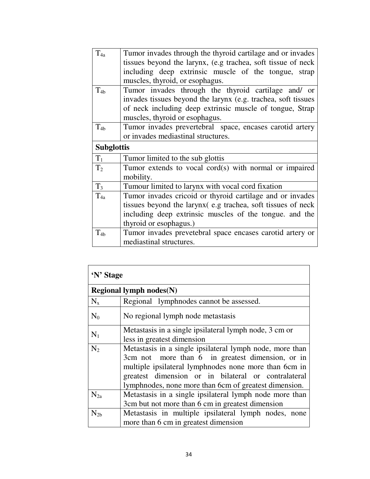| $T_{4a}$       | Tumor invades through the thyroid cartilage and or invades    |  |  |
|----------------|---------------------------------------------------------------|--|--|
|                | tissues beyond the larynx, (e.g trachea, soft tissue of neck  |  |  |
|                | including deep extrinsic muscle of the tongue, strap          |  |  |
|                | muscles, thyroid, or esophagus.                               |  |  |
| $T_{4b}$       | Tumor invades through the thyroid cartilage and/ or           |  |  |
|                | invades tissues beyond the larynx (e.g. trachea, soft tissues |  |  |
|                | of neck including deep extrinsic muscle of tongue, Strap      |  |  |
|                | muscles, thyroid or esophagus.                                |  |  |
| $T_{4b}$       | Tumor invades prevertebral space, encases carotid artery      |  |  |
|                | or invades mediastinal structures.                            |  |  |
|                | <b>Subglottis</b>                                             |  |  |
| $T_1$          | Tumor limited to the sub glottis                              |  |  |
| T <sub>2</sub> | Tumor extends to vocal cord(s) with normal or impaired        |  |  |
|                | mobility.                                                     |  |  |
| $T_3$          | Tumour limited to larynx with vocal cord fixation             |  |  |
| $T_{4a}$       | Tumor invades cricoid or thyroid cartilage and or invades     |  |  |
|                | tissues beyond the larynx (e.g trachea, soft tissues of neck  |  |  |
|                | including deep extrinsic muscles of the tongue, and the       |  |  |
|                | thyroid or esophagus.)                                        |  |  |
| $T_{4b}$       | Tumor invades prevetebral space encases carotid artery or     |  |  |
|                | mediastinal structures.                                       |  |  |

| 'N' Stage      |                                                                                                                                                                                                                                                                                       |  |  |
|----------------|---------------------------------------------------------------------------------------------------------------------------------------------------------------------------------------------------------------------------------------------------------------------------------------|--|--|
|                | Regional lymph $nodes(N)$                                                                                                                                                                                                                                                             |  |  |
| $N_{x}$        | Regional lymphnodes cannot be assessed.                                                                                                                                                                                                                                               |  |  |
| $\mathbf{N}_0$ | No regional lymph node metastasis                                                                                                                                                                                                                                                     |  |  |
| $N_1$          | Metastasis in a single ipsilateral lymph node, 3 cm or<br>less in greatest dimension                                                                                                                                                                                                  |  |  |
| $N_2$          | Metastasis in a single ipsilateral lymph node, more than<br>3cm not more than 6 in greatest dimension, or in<br>multiple ipsilateral lymphnodes none more than 6cm in<br>greatest dimension or in bilateral or contralateral<br>lymphnodes, none more than 6cm of greatest dimension. |  |  |
| $N_{2a}$       | Metastasis in a single ipsilateral lymph node more than<br>3cm but not more than 6 cm in greatest dimension                                                                                                                                                                           |  |  |
| $N_{2h}$       | Metastasis in multiple ipsilateral lymph nodes, none<br>more than 6 cm in greatest dimension                                                                                                                                                                                          |  |  |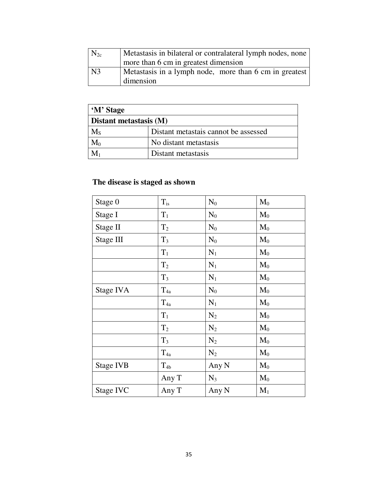| $N_{2c}$        | Metastasis in bilateral or contralateral lymph nodes, none          |  |  |
|-----------------|---------------------------------------------------------------------|--|--|
|                 | more than 6 cm in greatest dimension                                |  |  |
| $\overline{N3}$ | Metastasis in a lymph node, more than 6 cm in greatest<br>dimension |  |  |

| 'M' Stage              |                                      |  |
|------------------------|--------------------------------------|--|
| Distant metastasis (M) |                                      |  |
| $M_{S}$                | Distant metastais cannot be assessed |  |
| $\rm M_{0}$            | No distant metastasis                |  |
|                        | Distant metastasis                   |  |

# **The disease is staged as shown**

| Stage 0   | $T_{\rm is}$ | $N_0$          | $\mathbf{M}_0$ |
|-----------|--------------|----------------|----------------|
| Stage I   | $T_1$        | $\rm N_0$      | $\mathbf{M}_0$ |
| Stage II  | $T_2$        | $\rm N_0$      | $\mathbf{M}_0$ |
| Stage III | $T_3$        | $\mathrm{N}_0$ | $\mathbf{M}_0$ |
|           | $T_1$        | $N_1$          | $\mathbf{M}_0$ |
|           | $T_2$        | $N_1$          | $M_0$          |
|           | $T_3$        | $N_1$          | $M_0$          |
| Stage IVA | $T_{4a}$     | $\mathrm{N}_0$ | $M_0$          |
|           | $T_{4a}$     | $N_1$          | $\mathbf{M}_0$ |
|           | $T_1$        | $N_2$          | $\mathbf{M}_0$ |
|           | $T_2$        | $\rm N_2$      | $M_0$          |
|           | $T_3$        | $N_2$          | $M_0$          |
|           | $T_{4a}$     | $N_2$          | $\mathbf{M}_0$ |
| Stage IVB | $T_{4b}$     | Any N          | $M_0$          |
|           | Any T        | $N_3$          | $\mathbf{M}_0$ |
| Stage IVC | Any T        | Any N          | $M_1$          |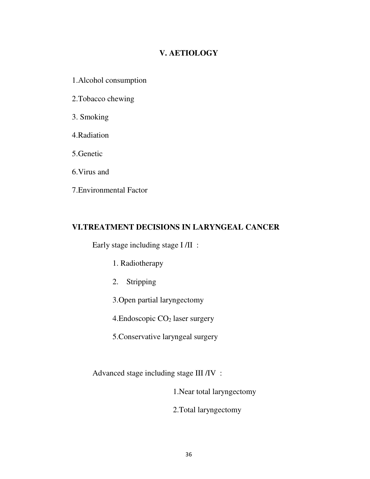# **V. AETIOLOGY**

- 1.Alcohol consumption
- 2.Tobacco chewing
- 3. Smoking
- 4.Radiation
- 5.Genetic
- 6.Virus and
- 7.Environmental Factor

# **VI.TREATMENT DECISIONS IN LARYNGEAL CANCER**

Early stage including stage I /II :

- 1. Radiotherapy
- 2. Stripping
- 3.Open partial laryngectomy
- 4. Endoscopic CO<sub>2</sub> laser surgery
- 5.Conservative laryngeal surgery

Advanced stage including stage III /IV :

1.Near total laryngectomy

2.Total laryngectomy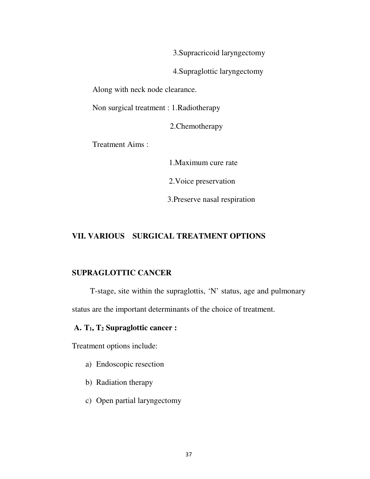3.Supracricoid laryngectomy

4.Supraglottic laryngectomy

Along with neck node clearance.

Non surgical treatment : 1.Radiotherapy

2.Chemotherapy

Treatment Aims :

1.Maximum cure rate

2.Voice preservation

3.Preserve nasal respiration

# **VII. VARIOUS SURGICAL TREATMENT OPTIONS**

#### **SUPRAGLOTTIC CANCER**

 T-stage, site within the supraglottis, 'N' status, age and pulmonary status are the important determinants of the choice of treatment.

## **A. T1, T2 Supraglottic cancer :**

Treatment options include:

- a) Endoscopic resection
- b) Radiation therapy
- c) Open partial laryngectomy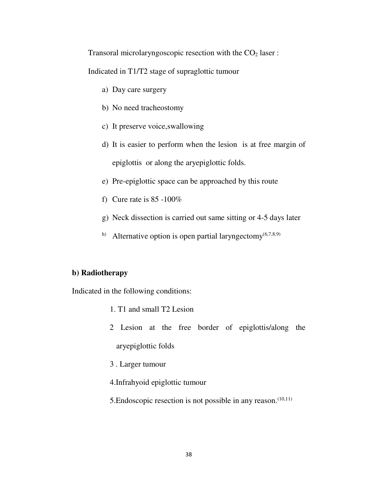Transoral microlaryngoscopic resection with the  $CO<sub>2</sub>$  laser :

Indicated in T1/T2 stage of supraglottic tumour

- a) Day care surgery
- b) No need tracheostomy
- c) It preserve voice,swallowing
- d) It is easier to perform when the lesion is at free margin of epiglottis or along the aryepiglottic folds.
- e) Pre-epiglottic space can be approached by this route
- f) Cure rate is  $85 100\%$
- g) Neck dissection is carried out same sitting or 4-5 days later
- <sup>h)</sup> Alternative option is open partial laryngectomy<sup> $(6,7,8,9)$ </sup>

# **b) Radiotherapy**

Indicated in the following conditions:

- 1. T1 and small T2 Lesion
- 2 Lesion at the free border of epiglottis/along the aryepiglottic folds
- 3 . Larger tumour
- 4.Infrahyoid epiglottic tumour
- 5. Endoscopic resection is not possible in any reason.<sup>(10,11)</sup>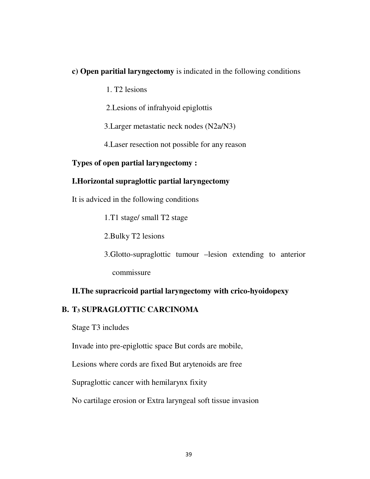# **c) Open paritial laryngectomy** is indicated in the following conditions

1. T2 lesions

2.Lesions of infrahyoid epiglottis

3.Larger metastatic neck nodes (N2a/N3)

4.Laser resection not possible for any reason

# **Types of open partial laryngectomy :**

# **I.Horizontal supraglottic partial laryngectomy**

It is adviced in the following conditions

1.T1 stage/ small T2 stage

2.Bulky T2 lesions

3.Glotto-supraglottic tumour –lesion extending to anterior commissure

# **II.The supracricoid partial laryngectomy with crico-hyoidopexy**

# **B. T3 SUPRAGLOTTIC CARCINOMA**

Stage T3 includes

Invade into pre-epiglottic space But cords are mobile,

Lesions where cords are fixed But arytenoids are free

Supraglottic cancer with hemilarynx fixity

No cartilage erosion or Extra laryngeal soft tissue invasion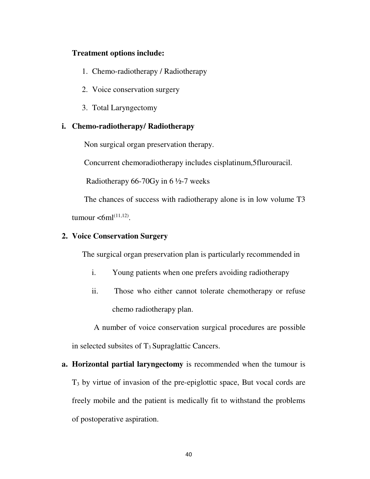## **Treatment options include:**

- 1. Chemo-radiotherapy / Radiotherapy
- 2. Voice conservation surgery
- 3. Total Laryngectomy

## **i. Chemo-radiotherapy/ Radiotherapy**

Non surgical organ preservation therapy.

Concurrent chemoradiotherapy includes cisplatinum,5flurouracil.

Radiotherapy 66-70Gy in  $6\frac{1}{2}$ -7 weeks

The chances of success with radiotherapy alone is in low volume T3  $t$ umour < $6$ ml $^{(11,12)}$ .

## **2. Voice Conservation Surgery**

The surgical organ preservation plan is particularly recommended in

- i. Young patients when one prefers avoiding radiotherapy
- ii. Those who either cannot tolerate chemotherapy or refuse chemo radiotherapy plan.

 A number of voice conservation surgical procedures are possible in selected subsites of  $T_3$  Supraglattic Cancers.

**a. Horizontal partial laryngectomy** is recommended when the tumour is  $T<sub>3</sub>$  by virtue of invasion of the pre-epiglottic space, But vocal cords are freely mobile and the patient is medically fit to withstand the problems of postoperative aspiration.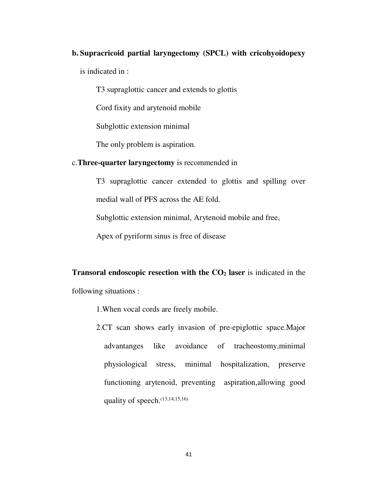#### **b. Supracricoid partial laryngectomy (SPCL) with cricohyoidopexy**

is indicated in :

T3 supraglottic cancer and extends to glottis

Cord fixity and arytenoid mobile

Subglottic extension minimal

The only problem is aspiration.

#### c.**Three-quarter laryngectomy** is recommended in

T3 supraglottic cancer extended to glottis and spilling over

medial wall of PFS across the AE fold.

Subglottic extension minimal, Arytenoid mobile and free,

Apex of pyriform sinus is free of disease

# **Transoral endoscopic resection with the CO2 laser** is indicated in the

following situations :

1.When vocal cords are freely mobile.

2.CT scan shows early invasion of pre-epiglottic space.Major advantanges like avoidance of tracheostomy,minimal physiological stress, minimal hospitalization, preserve functioning arytenoid, preventing aspiration,allowing good quality of speech. $(13,14,15,16)$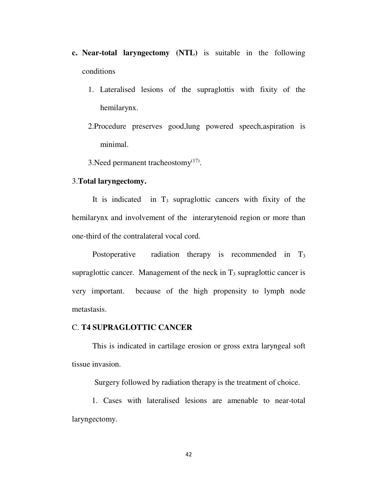- **c. Near-total laryngectomy (NTL)** is suitable in the following conditions
	- 1. Lateralised lesions of the supraglottis with fixity of the hemilarynx.
	- 2.Procedure preserves good,lung powered speech,aspiration is minimal.

3. Need permanent tracheostomy $(17)$ .

## 3.**Total laryngectomy.**

It is indicated in  $T_3$  supraglottic cancers with fixity of the hemilarynx and involvement of the interarytenoid region or more than one-third of the contralateral vocal cord.

Postoperative radiation therapy is recommended in  $T_3$ supraglottic cancer. Management of the neck in  $T_3$  supraglottic cancer is very important. because of the high propensity to lymph node metastasis.

#### C. **T4 SUPRAGLOTTIC CANCER**

This is indicated in cartilage erosion or gross extra laryngeal soft tissue invasion.

Surgery followed by radiation therapy is the treatment of choice.

 1. Cases with lateralised lesions are amenable to near-total laryngectomy.

42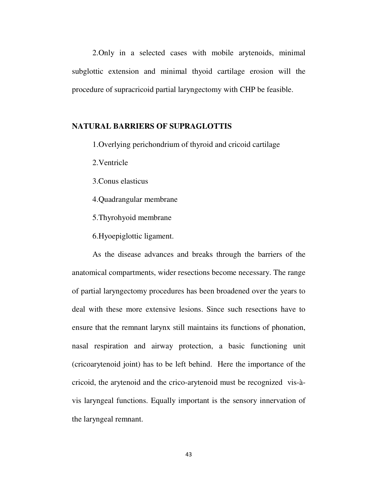2.Only in a selected cases with mobile arytenoids, minimal subglottic extension and minimal thyoid cartilage erosion will the procedure of supracricoid partial laryngectomy with CHP be feasible.

#### **NATURAL BARRIERS OF SUPRAGLOTTIS**

1.Overlying perichondrium of thyroid and cricoid cartilage

2.Ventricle

3.Conus elasticus

4.Quadrangular membrane

5.Thyrohyoid membrane

6.Hyoepiglottic ligament.

As the disease advances and breaks through the barriers of the anatomical compartments, wider resections become necessary. The range of partial laryngectomy procedures has been broadened over the years to deal with these more extensive lesions. Since such resections have to ensure that the remnant larynx still maintains its functions of phonation, nasal respiration and airway protection, a basic functioning unit (cricoarytenoid joint) has to be left behind. Here the importance of the cricoid, the arytenoid and the crico-arytenoid must be recognized vis-àvis laryngeal functions. Equally important is the sensory innervation of the laryngeal remnant.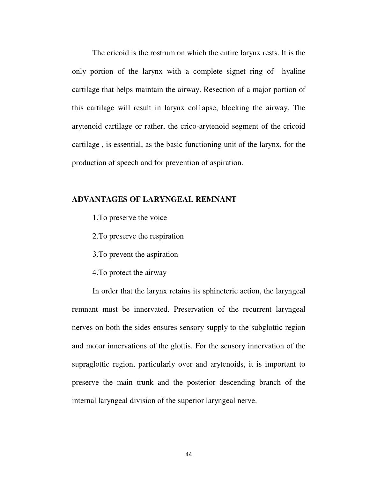The cricoid is the rostrum on which the entire larynx rests. It is the only portion of the larynx with a complete signet ring of hyaline cartilage that helps maintain the airway. Resection of a major portion of this cartilage will result in larynx col1apse, blocking the airway. The arytenoid cartilage or rather, the crico-arytenoid segment of the cricoid cartilage , is essential, as the basic functioning unit of the larynx, for the production of speech and for prevention of aspiration.

## **ADVANTAGES OF LARYNGEAL REMNANT**

- 1.To preserve the voice
- 2.To preserve the respiration
- 3.To prevent the aspiration
- 4.To protect the airway

In order that the larynx retains its sphincteric action, the laryngeal remnant must be innervated. Preservation of the recurrent laryngeal nerves on both the sides ensures sensory supply to the subglottic region and motor innervations of the glottis. For the sensory innervation of the supraglottic region, particularly over and arytenoids, it is important to preserve the main trunk and the posterior descending branch of the internal laryngeal division of the superior laryngeal nerve.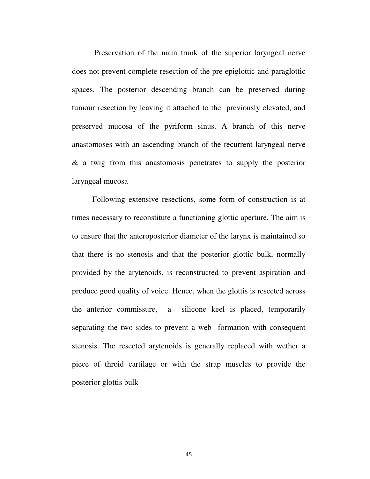Preservation of the main trunk of the superior laryngeal nerve does not prevent complete resection of the pre epiglottic and paraglottic spaces. The posterior descending branch can be preserved during tumour resection by leaving it attached to the previously elevated, and preserved mucosa of the pyriform sinus. A branch of this nerve anastomoses with an ascending branch of the recurrent laryngeal nerve & a twig from this anastomosis penetrates to supply the posterior laryngeal mucosa

Following extensive resections, some form of construction is at times necessary to reconstitute a functioning glottic aperture. The aim is to ensure that the anteroposterior diameter of the larynx is maintained so that there is no stenosis and that the posterior glottic bulk, normally provided by the arytenoids, is reconstructed to prevent aspiration and produce good quality of voice. Hence, when the glottis is resected across the anterior commissure, a silicone keel is placed, temporarily separating the two sides to prevent a web formation with consequent stenosis. The resected arytenoids is generally replaced with wether a piece of throid cartilage or with the strap muscles to provide the posterior glottis bulk

45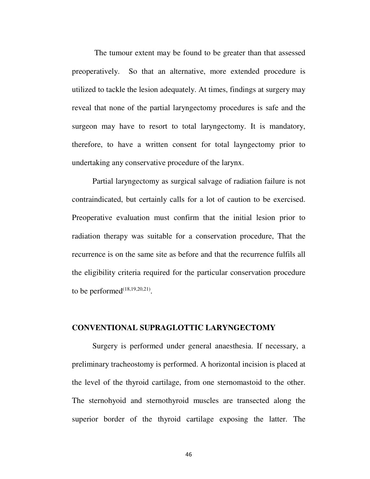The tumour extent may be found to be greater than that assessed preoperatively. So that an alternative, more extended procedure is utilized to tackle the lesion adequately. At times, findings at surgery may reveal that none of the partial laryngectomy procedures is safe and the surgeon may have to resort to total laryngectomy. It is mandatory, therefore, to have a written consent for total layngectomy prior to undertaking any conservative procedure of the larynx.

Partial laryngectomy as surgical salvage of radiation failure is not contraindicated, but certainly calls for a lot of caution to be exercised. Preoperative evaluation must confirm that the initial lesion prior to radiation therapy was suitable for a conservation procedure, That the recurrence is on the same site as before and that the recurrence fulfils all the eligibility criteria required for the particular conservation procedure to be performed<sup> $(18,19,20,21)$ </sup>.

#### **CONVENTIONAL SUPRAGLOTTIC LARYNGECTOMY**

Surgery is performed under general anaesthesia. If necessary, a preliminary tracheostomy is performed. A horizontal incision is placed at the level of the thyroid cartilage, from one sternomastoid to the other. The sternohyoid and sternothyroid muscles are transected along the superior border of the thyroid cartilage exposing the latter. The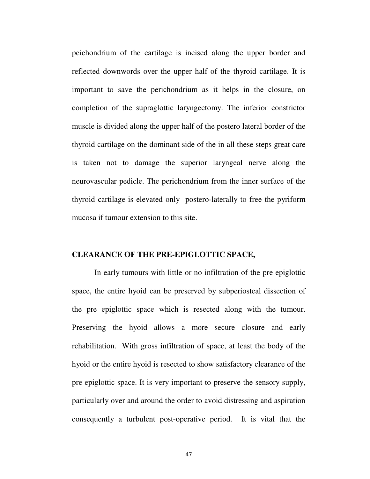peichondrium of the cartilage is incised along the upper border and reflected downwords over the upper half of the thyroid cartilage. It is important to save the perichondrium as it helps in the closure, on completion of the supraglottic laryngectomy. The inferior constrictor muscle is divided along the upper half of the postero lateral border of the thyroid cartilage on the dominant side of the in all these steps great care is taken not to damage the superior laryngeal nerve along the neurovascular pedicle. The perichondrium from the inner surface of the thyroid cartilage is elevated only postero-laterally to free the pyriform mucosa if tumour extension to this site.

#### **CLEARANCE OF THE PRE-EPIGLOTTIC SPACE,**

 In early tumours with little or no infiltration of the pre epiglottic space, the entire hyoid can be preserved by subperiosteal dissection of the pre epiglottic space which is resected along with the tumour. Preserving the hyoid allows a more secure closure and early rehabilitation. With gross infiltration of space, at least the body of the hyoid or the entire hyoid is resected to show satisfactory clearance of the pre epiglottic space. It is very important to preserve the sensory supply, particularly over and around the order to avoid distressing and aspiration consequently a turbulent post-operative period. It is vital that the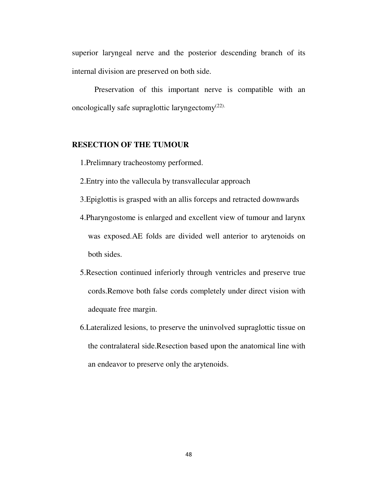superior laryngeal nerve and the posterior descending branch of its internal division are preserved on both side.

 Preservation of this important nerve is compatible with an oncologically safe supraglottic laryngectomy(22).

### **RESECTION OF THE TUMOUR**

1.Prelimnary tracheostomy performed.

- 2.Entry into the vallecula by transvallecular approach
- 3.Epiglottis is grasped with an allis forceps and retracted downwards
- 4.Pharyngostome is enlarged and excellent view of tumour and larynx was exposed.AE folds are divided well anterior to arytenoids on both sides.
- 5.Resection continued inferiorly through ventricles and preserve true cords.Remove both false cords completely under direct vision with adequate free margin.
- 6.Lateralized lesions, to preserve the uninvolved supraglottic tissue on the contralateral side.Resection based upon the anatomical line with an endeavor to preserve only the arytenoids.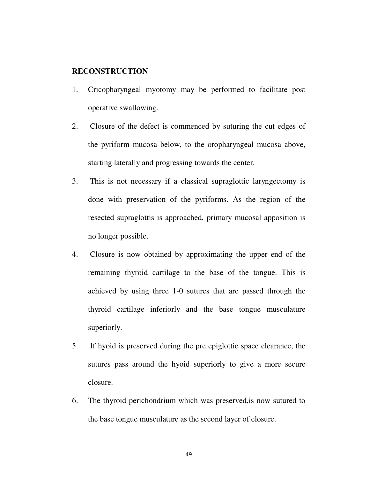#### **RECONSTRUCTION**

- 1. Cricopharyngeal myotomy may be performed to facilitate post operative swallowing.
- 2. Closure of the defect is commenced by suturing the cut edges of the pyriform mucosa below, to the oropharyngeal mucosa above, starting laterally and progressing towards the center.
- 3. This is not necessary if a classical supraglottic laryngectomy is done with preservation of the pyriforms. As the region of the resected supraglottis is approached, primary mucosal apposition is no longer possible.
- 4. Closure is now obtained by approximating the upper end of the remaining thyroid cartilage to the base of the tongue. This is achieved by using three 1-0 sutures that are passed through the thyroid cartilage inferiorly and the base tongue musculature superiorly.
- 5. If hyoid is preserved during the pre epiglottic space clearance, the sutures pass around the hyoid superiorly to give a more secure closure.
- 6. The thyroid perichondrium which was preserved,is now sutured to the base tongue musculature as the second layer of closure.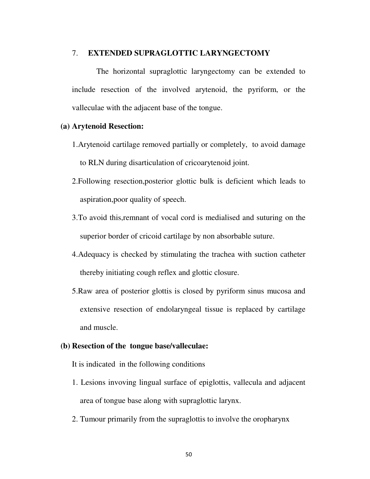#### 7. **EXTENDED SUPRAGLOTTIC LARYNGECTOMY**

 The horizontal supraglottic laryngectomy can be extended to include resection of the involved arytenoid, the pyriform, or the valleculae with the adjacent base of the tongue.

## **(a) Arytenoid Resection:**

- 1.Arytenoid cartilage removed partially or completely, to avoid damage to RLN during disarticulation of cricoarytenoid joint.
- 2.Following resection,posterior glottic bulk is deficient which leads to aspiration,poor quality of speech.
- 3.To avoid this,remnant of vocal cord is medialised and suturing on the superior border of cricoid cartilage by non absorbable suture.
- 4.Adequacy is checked by stimulating the trachea with suction catheter thereby initiating cough reflex and glottic closure.
- 5.Raw area of posterior glottis is closed by pyriform sinus mucosa and extensive resection of endolaryngeal tissue is replaced by cartilage and muscle.

## **(b) Resection of the tongue base/valleculae:**

It is indicated in the following conditions

- 1. Lesions invoving lingual surface of epiglottis, vallecula and adjacent area of tongue base along with supraglottic larynx.
- 2. Tumour primarily from the supraglottis to involve the oropharynx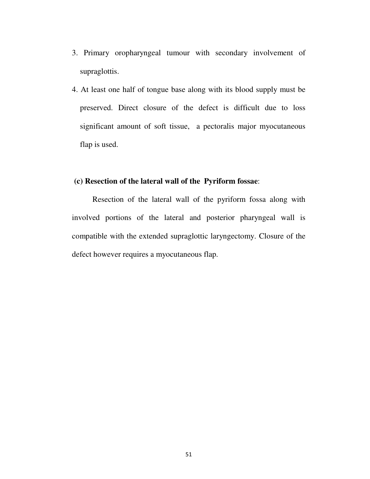- 3. Primary oropharyngeal tumour with secondary involvement of supraglottis.
- 4. At least one half of tongue base along with its blood supply must be preserved. Direct closure of the defect is difficult due to loss significant amount of soft tissue, a pectoralis major myocutaneous flap is used.

# **(c) Resection of the lateral wall of the Pyriform fossae**:

Resection of the lateral wall of the pyriform fossa along with involved portions of the lateral and posterior pharyngeal wall is compatible with the extended supraglottic laryngectomy. Closure of the defect however requires a myocutaneous flap.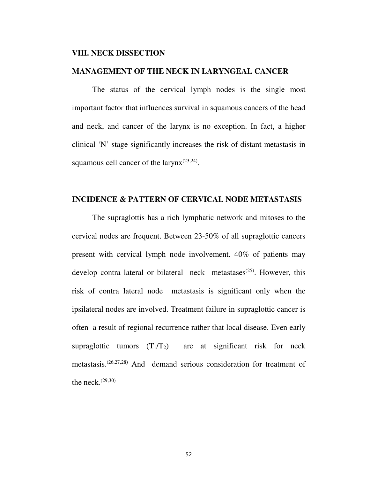#### **VIII. NECK DISSECTION**

#### **MANAGEMENT OF THE NECK IN LARYNGEAL CANCER**

The status of the cervical lymph nodes is the single most important factor that influences survival in squamous cancers of the head and neck, and cancer of the larynx is no exception. In fact, a higher clinical 'N' stage significantly increases the risk of distant metastasis in squamous cell cancer of the  $larynx^{(23,24)}$ .

## **INCIDENCE & PATTERN OF CERVICAL NODE METASTASIS**

The supraglottis has a rich lymphatic network and mitoses to the cervical nodes are frequent. Between 23-50% of all supraglottic cancers present with cervical lymph node involvement. 40% of patients may develop contra lateral or bilateral neck metastases<sup> $(25)$ </sup>. However, this risk of contra lateral node metastasis is significant only when the ipsilateral nodes are involved. Treatment failure in supraglottic cancer is often a result of regional recurrence rather that local disease. Even early supraglottic tumors  $(T_1/T_2)$  are at significant risk for neck metastasis.(26,27,28) And demand serious consideration for treatment of the neck. $^{(29,30)}$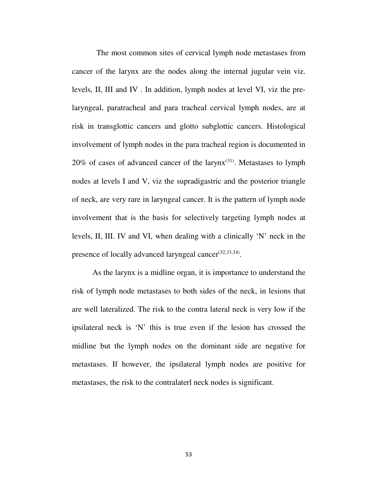The most common sites of cervical lymph node metastases from cancer of the larynx are the nodes along the internal jugular vein viz. levels, II, III and IV . In addition, lymph nodes at level VI, viz the prelaryngeal, paratracheal and para tracheal cervical lymph nodes, are at risk in transglottic cancers and glotto subglottic cancers. Histological involvement of lymph nodes in the para tracheal region is documented in  $20\%$  of cases of advanced cancer of the larynx<sup>(31)</sup>. Metastases to lymph nodes at levels I and V, viz the supradigastric and the posterior triangle of neck, are very rare in laryngeal cancer. It is the pattern of lymph node involvement that is the basis for selectively targeting lymph nodes at levels, II, III. IV and VI, when dealing with a clinically 'N' neck in the presence of locally advanced laryngeal cancer<sup>(32,33,34)</sup>.

As the larynx is a midline organ, it is importance to understand the risk of lymph node metastases to both sides of the neck, in lesions that are well lateralized. The risk to the contra lateral neck is very low if the ipsilateral neck is 'N' this is true even if the lesion has crossed the midline but the lymph nodes on the dominant side are negative for metastases. If however, the ipsilateral lymph nodes are positive for metastases, the risk to the contralaterl neck nodes is significant.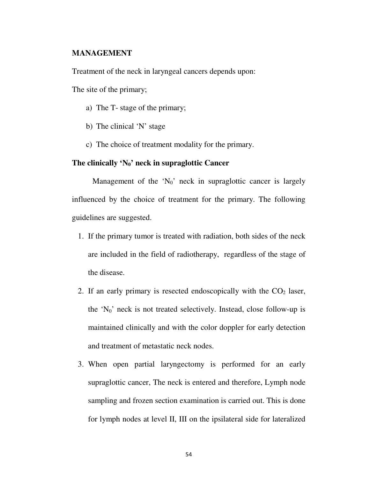#### **MANAGEMENT**

Treatment of the neck in laryngeal cancers depends upon:

The site of the primary;

- a) The T- stage of the primary;
- b) The clinical 'N' stage
- c) The choice of treatment modality for the primary.

#### **The clinically 'N0' neck in supraglottic Cancer**

Management of the ' $N_0$ ' neck in supraglottic cancer is largely influenced by the choice of treatment for the primary. The following guidelines are suggested.

- 1. If the primary tumor is treated with radiation, both sides of the neck are included in the field of radiotherapy, regardless of the stage of the disease.
- 2. If an early primary is resected endoscopically with the  $CO<sub>2</sub>$  laser, the ' $N_0$ ' neck is not treated selectively. Instead, close follow-up is maintained clinically and with the color doppler for early detection and treatment of metastatic neck nodes.
- 3. When open partial laryngectomy is performed for an early supraglottic cancer, The neck is entered and therefore, Lymph node sampling and frozen section examination is carried out. This is done for lymph nodes at level II, III on the ipsilateral side for lateralized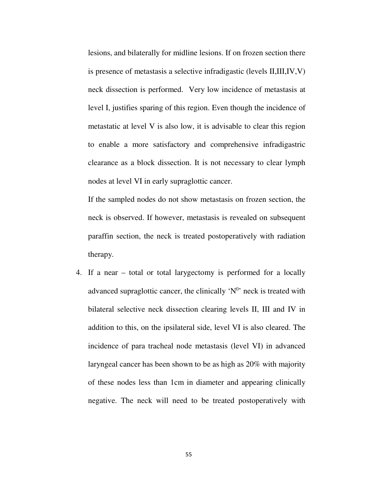lesions, and bilaterally for midline lesions. If on frozen section there is presence of metastasis a selective infradigastic (levels II,III,IV,V) neck dissection is performed. Very low incidence of metastasis at level I, justifies sparing of this region. Even though the incidence of metastatic at level V is also low, it is advisable to clear this region to enable a more satisfactory and comprehensive infradigastric clearance as a block dissection. It is not necessary to clear lymph nodes at level VI in early supraglottic cancer.

If the sampled nodes do not show metastasis on frozen section, the neck is observed. If however, metastasis is revealed on subsequent paraffin section, the neck is treated postoperatively with radiation therapy.

4. If a near – total or total larygectomy is performed for a locally advanced supraglottic cancer, the clinically  $'N^0$  neck is treated with bilateral selective neck dissection clearing levels II, III and IV in addition to this, on the ipsilateral side, level VI is also cleared. The incidence of para tracheal node metastasis (level VI) in advanced laryngeal cancer has been shown to be as high as 20% with majority of these nodes less than 1cm in diameter and appearing clinically negative. The neck will need to be treated postoperatively with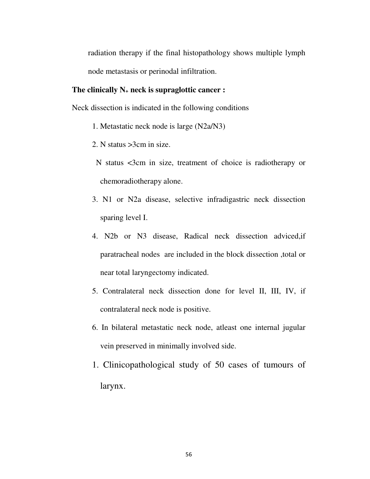radiation therapy if the final histopathology shows multiple lymph

node metastasis or perinodal infiltration.

#### **The clinically N+ neck is supraglottic cancer :**

Neck dissection is indicated in the following conditions

- 1. Metastatic neck node is large (N2a/N3)
- 2. N status >3cm in size.

 N status <3cm in size, treatment of choice is radiotherapy or chemoradiotherapy alone.

- 3. N1 or N2a disease, selective infradigastric neck dissection sparing level I.
- 4. N2b or N3 disease, Radical neck dissection adviced,if paratracheal nodes are included in the block dissection ,total or near total laryngectomy indicated.
- 5. Contralateral neck dissection done for level II, III, IV, if contralateral neck node is positive.
- 6. In bilateral metastatic neck node, atleast one internal jugular vein preserved in minimally involved side.
- 1. Clinicopathological study of 50 cases of tumours of larynx.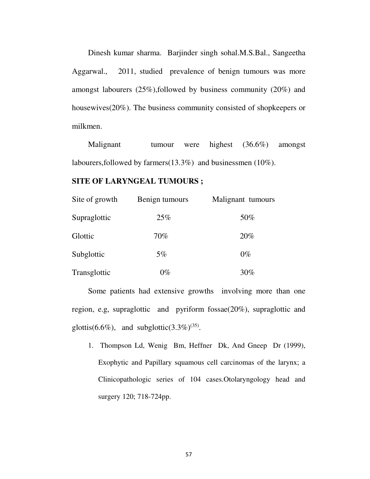Dinesh kumar sharma. Barjinder singh sohal.M.S.Bal., Sangeetha Aggarwal., 2011, studied prevalence of benign tumours was more amongst labourers (25%),followed by business community (20%) and housewives(20%). The business community consisted of shopkeepers or milkmen.

Malignant tumour were highest (36.6%) amongst labourers,followed by farmers(13.3%) and businessmen (10%).

#### **SITE OF LARYNGEAL TUMOURS ;**

| Site of growth | Benign tumours | Malignant tumours |
|----------------|----------------|-------------------|
| Supraglottic   | 25%            | 50%               |
| Glottic        | 70%            | 20%               |
| Subglottic     | $5\%$          | $0\%$             |
| Transglottic   | $0\%$          | 30%               |

Some patients had extensive growths involving more than one region, e.g, supraglottic and pyriform fossae(20%), supraglottic and glottis(6.6%), and subglottic(3.3%)<sup>(35)</sup>.

1. Thompson Ld, Wenig Bm, Heffner Dk, And Gneep Dr (1999), Exophytic and Papillary squamous cell carcinomas of the larynx; a Clinicopathologic series of 104 cases.Otolaryngology head and surgery 120; 718-724pp.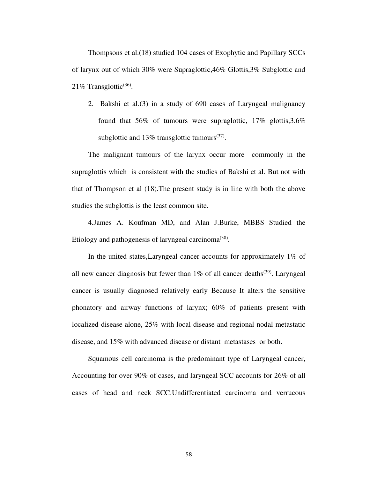Thompsons et al.(18) studied 104 cases of Exophytic and Papillary SCCs of larynx out of which 30% were Supraglottic,46% Glottis,3% Subglottic and  $21\%$  Transglottic<sup>(36)</sup>.

2. Bakshi et al.(3) in a study of 690 cases of Laryngeal malignancy found that  $56\%$  of tumours were supraglottic,  $17\%$  glottis,  $3.6\%$ subglottic and  $13\%$  transglottic tumours<sup>(37)</sup>.

The malignant tumours of the larynx occur more commonly in the supraglottis which is consistent with the studies of Bakshi et al. But not with that of Thompson et al (18).The present study is in line with both the above studies the subglottis is the least common site.

4.James A. Koufman MD, and Alan J.Burke, MBBS Studied the Etiology and pathogenesis of laryngeal carcinoma<sup>(38)</sup>.

In the united states,Laryngeal cancer accounts for approximately 1% of all new cancer diagnosis but fewer than  $1\%$  of all cancer deaths<sup>(39)</sup>. Laryngeal cancer is usually diagnosed relatively early Because It alters the sensitive phonatory and airway functions of larynx; 60% of patients present with localized disease alone, 25% with local disease and regional nodal metastatic disease, and 15% with advanced disease or distant metastases or both.

Squamous cell carcinoma is the predominant type of Laryngeal cancer, Accounting for over 90% of cases, and laryngeal SCC accounts for 26% of all cases of head and neck SCC.Undifferentiated carcinoma and verrucous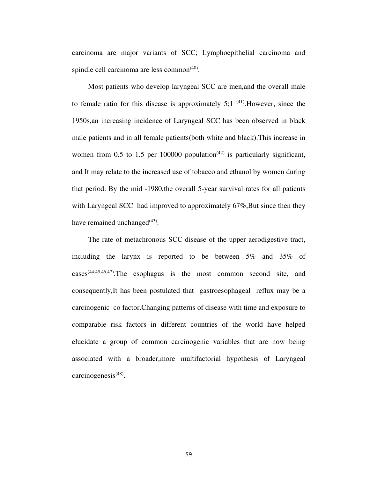carcinoma are major variants of SCC; Lymphoepithelial carcinoma and spindle cell carcinoma are less common<sup>(40)</sup>.

Most patients who develop laryngeal SCC are men,and the overall male to female ratio for this disease is approximately  $5:1^{(41)}$ . However, since the 1950s,an increasing incidence of Laryngeal SCC has been observed in black male patients and in all female patients(both white and black).This increase in women from 0.5 to 1.5 per 100000 population<sup> $(42)$ </sup> is particularly significant, and It may relate to the increased use of tobacco and ethanol by women during that period. By the mid -1980,the overall 5-year survival rates for all patients with Laryngeal SCC had improved to approximately 67%,But since then they have remained unchanged $(43)$ .

The rate of metachronous SCC disease of the upper aerodigestive tract, including the larynx is reported to be between 5% and 35% of cases(44,45,46,47).The esophagus is the most common second site, and consequently,It has been postulated that gastroesophageal reflux may be a carcinogenic co factor.Changing patterns of disease with time and exposure to comparable risk factors in different countries of the world have helped elucidate a group of common carcinogenic variables that are now being associated with a broader,more multifactorial hypothesis of Laryngeal carcinogenesis<sup>(48)</sup>.

59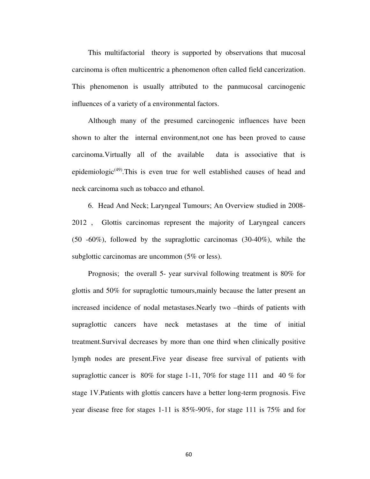This multifactorial theory is supported by observations that mucosal carcinoma is often multicentric a phenomenon often called field cancerization. This phenomenon is usually attributed to the panmucosal carcinogenic influences of a variety of a environmental factors.

Although many of the presumed carcinogenic influences have been shown to alter the internal environment,not one has been proved to cause carcinoma.Virtually all of the available data is associative that is epidemiologic<sup> $(49)$ </sup>. This is even true for well established causes of head and neck carcinoma such as tobacco and ethanol.

6. Head And Neck; Laryngeal Tumours; An Overview studied in 2008- 2012 , Glottis carcinomas represent the majority of Laryngeal cancers (50 -60%), followed by the supraglottic carcinomas (30-40%), while the subglottic carcinomas are uncommon (5% or less).

Prognosis; the overall 5- year survival following treatment is 80% for glottis and 50% for supraglottic tumours,mainly because the latter present an increased incidence of nodal metastases.Nearly two –thirds of patients with supraglottic cancers have neck metastases at the time of initial treatment.Survival decreases by more than one third when clinically positive lymph nodes are present.Five year disease free survival of patients with supraglottic cancer is 80% for stage 1-11, 70% for stage 111 and 40 % for stage 1V.Patients with glottis cancers have a better long-term prognosis. Five year disease free for stages 1-11 is 85%-90%, for stage 111 is 75% and for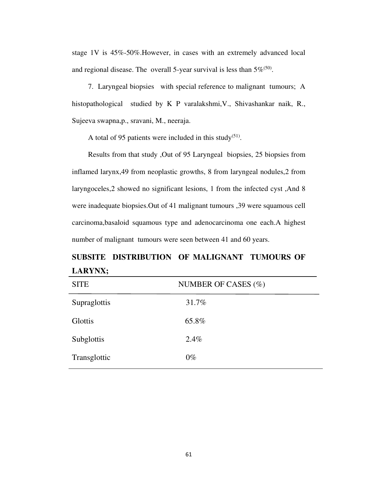stage 1V is 45%-50%.However, in cases with an extremely advanced local and regional disease. The overall 5-year survival is less than  $5\%^{(50)}$ .

7. Laryngeal biopsies with special reference to malignant tumours; A histopathological studied by K P varalakshmi,V., Shivashankar naik, R., Sujeeva swapna,p., sravani, M., neeraja.

A total of 95 patients were included in this study<sup>(51)</sup>.

Results from that study ,Out of 95 Laryngeal biopsies, 25 biopsies from inflamed larynx,49 from neoplastic growths, 8 from laryngeal nodules,2 from laryngoceles,2 showed no significant lesions, 1 from the infected cyst ,And 8 were inadequate biopsies.Out of 41 malignant tumours ,39 were squamous cell carcinoma,basaloid squamous type and adenocarcinoma one each.A highest number of malignant tumours were seen between 41 and 60 years.

**SUBSITE DISTRIBUTION OF MALIGNANT TUMOURS OF LARYNX;** 

| <b>SITE</b>  | NUMBER OF CASES $(\% )$ |
|--------------|-------------------------|
| Supraglottis | 31.7%                   |
| Glottis      | 65.8%                   |
| Subglottis   | 2.4%                    |
| Transglottic | $0\%$                   |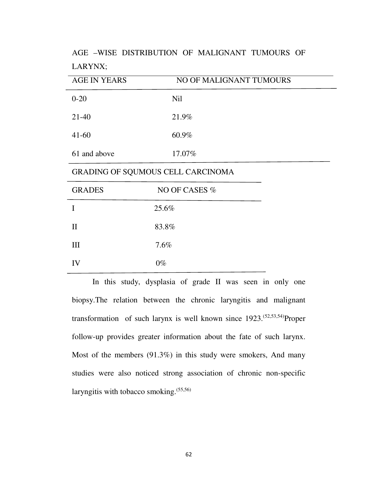AGE –WISE DISTRIBUTION OF MALIGNANT TUMOURS OF LARYNX;

| <b>AGE IN YEARS</b>               | NO OF MALIGNANT TUMOURS |  |
|-----------------------------------|-------------------------|--|
| $0 - 20$                          | <b>Nil</b>              |  |
| 21-40                             | 21.9%                   |  |
| $41-60$                           | $60.9\%$                |  |
| 61 and above                      | 17.07%                  |  |
| GRADING OF SQUMOUS CELL CARCINOMA |                         |  |

| <b>GRADES</b> | NO OF CASES % |
|---------------|---------------|
|               | 25.6%         |
| $\mathbf{I}$  | 83.8%         |
| III           | 7.6%          |
| IV            | $0\%$         |

 In this study, dysplasia of grade II was seen in only one biopsy.The relation between the chronic laryngitis and malignant transformation of such larynx is well known since 1923.<sup>(52,53,54)</sup>Proper follow-up provides greater information about the fate of such larynx. Most of the members (91.3%) in this study were smokers, And many studies were also noticed strong association of chronic non-specific laryngitis with tobacco smoking.(55,56)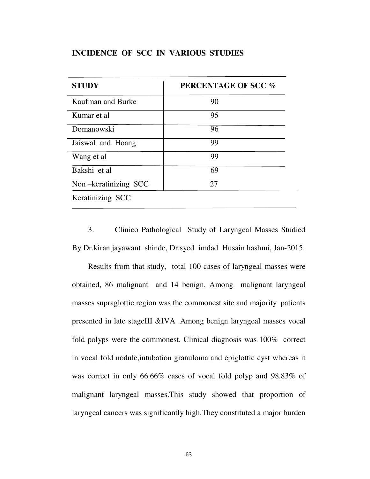## **INCIDENCE OF SCC IN VARIOUS STUDIES**

| <b>STUDY</b>         | PERCENTAGE OF SCC % |
|----------------------|---------------------|
| Kaufman and Burke    | 90                  |
| Kumar et al          | 95                  |
| Domanowski           | 96                  |
| Jaiswal and Hoang    | 99                  |
| Wang et al           | 99                  |
| Bakshi et al         | 69                  |
| Non-keratinizing SCC | 27                  |
| Keratinizing SCC     |                     |

3. Clinico Pathological Study of Laryngeal Masses Studied By Dr.kiran jayawant shinde, Dr.syed imdad Husain hashmi, Jan-2015.

Results from that study, total 100 cases of laryngeal masses were obtained, 86 malignant and 14 benign. Among malignant laryngeal masses supraglottic region was the commonest site and majority patients presented in late stageIII &IVA .Among benign laryngeal masses vocal fold polyps were the commonest. Clinical diagnosis was 100% correct in vocal fold nodule,intubation granuloma and epiglottic cyst whereas it was correct in only 66.66% cases of vocal fold polyp and 98.83% of malignant laryngeal masses.This study showed that proportion of laryngeal cancers was significantly high,They constituted a major burden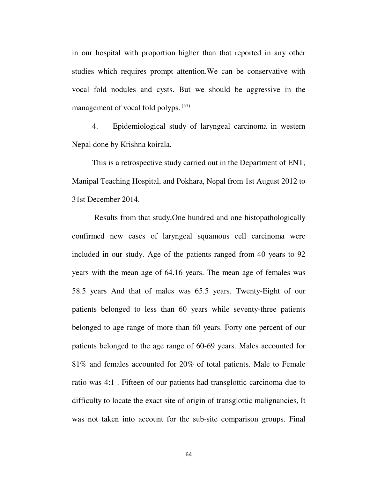in our hospital with proportion higher than that reported in any other studies which requires prompt attention.We can be conservative with vocal fold nodules and cysts. But we should be aggressive in the management of vocal fold polyps. (57)

4. Epidemiological study of laryngeal carcinoma in western Nepal done by Krishna koirala.

This is a retrospective study carried out in the Department of ENT, Manipal Teaching Hospital, and Pokhara, Nepal from 1st August 2012 to 31st December 2014.

 Results from that study,One hundred and one histopathologically confirmed new cases of laryngeal squamous cell carcinoma were included in our study. Age of the patients ranged from 40 years to 92 years with the mean age of 64.16 years. The mean age of females was 58.5 years And that of males was 65.5 years. Twenty-Eight of our patients belonged to less than 60 years while seventy-three patients belonged to age range of more than 60 years. Forty one percent of our patients belonged to the age range of 60-69 years. Males accounted for 81% and females accounted for 20% of total patients. Male to Female ratio was 4:1 . Fifteen of our patients had transglottic carcinoma due to difficulty to locate the exact site of origin of transglottic malignancies, It was not taken into account for the sub-site comparison groups. Final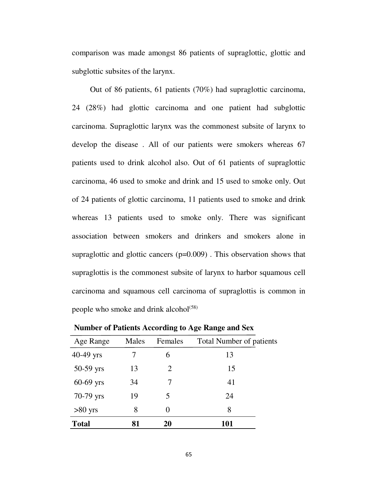comparison was made amongst 86 patients of supraglottic, glottic and subglottic subsites of the larynx.

 Out of 86 patients, 61 patients (70%) had supraglottic carcinoma, 24 (28%) had glottic carcinoma and one patient had subglottic carcinoma. Supraglottic larynx was the commonest subsite of larynx to develop the disease . All of our patients were smokers whereas 67 patients used to drink alcohol also. Out of 61 patients of supraglottic carcinoma, 46 used to smoke and drink and 15 used to smoke only. Out of 24 patients of glottic carcinoma, 11 patients used to smoke and drink whereas 13 patients used to smoke only. There was significant association between smokers and drinkers and smokers alone in supraglottic and glottic cancers  $(p=0.009)$ . This observation shows that supraglottis is the commonest subsite of larynx to harbor squamous cell carcinoma and squamous cell carcinoma of supraglottis is common in people who smoke and drink alcohol<sup> $(58)$ </sup>

| Age Range    | Males | Females                     | <b>Total Number of patients</b> |
|--------------|-------|-----------------------------|---------------------------------|
| 40-49 yrs    |       | 6                           | 13                              |
| 50-59 yrs    | 13    | $\mathcal{D}_{\mathcal{L}}$ | 15                              |
| $60-69$ yrs  | 34    |                             | 41                              |
| 70-79 yrs    | 19    | 5                           | 24                              |
| $>80$ yrs    | 8     | 0                           | 8                               |
| <b>Total</b> |       | 20                          | 101                             |

 **Number of Patients According to Age Range and Sex**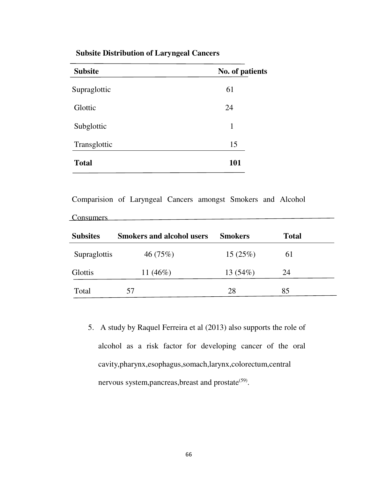# **Subsite Distribution of Laryngeal Cancers**

**Consumers** 

| <b>Subsite</b> | No. of patients |  |
|----------------|-----------------|--|
| Supraglottic   | 61              |  |
| Glottic        | 24              |  |
| Subglottic     | 1               |  |
| Transglottic   | 15              |  |
| <b>Total</b>   | 101             |  |

Comparision of Laryngeal Cancers amongst Smokers and Alcohol

| <b>Subsites</b> | <b>Smokers and alcohol users</b> | <b>Smokers</b> | <b>Total</b> |  |
|-----------------|----------------------------------|----------------|--------------|--|
| Supraglottis    | 46(75%)                          | 15(25%)        | 61           |  |
| Glottis         | 11 $(46%)$                       | 13 $(54%)$     | 24           |  |
| Total           | 57                               | 28             | 85           |  |

5. A study by Raquel Ferreira et al (2013) also supports the role of alcohol as a risk factor for developing cancer of the oral cavity,pharynx,esophagus,somach,larynx,colorectum,central nervous system, pancreas, breast and prostate<sup>(59)</sup>.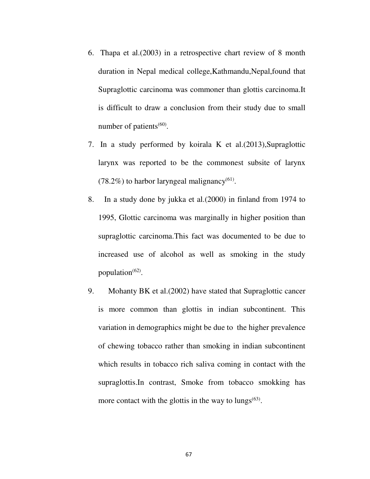- 6. Thapa et al.(2003) in a retrospective chart review of 8 month duration in Nepal medical college,Kathmandu,Nepal,found that Supraglottic carcinoma was commoner than glottis carcinoma.It is difficult to draw a conclusion from their study due to small number of patients $^{(60)}$ .
- 7. In a study performed by koirala K et al.(2013),Supraglottic larynx was reported to be the commonest subsite of larynx  $(78.2\%)$  to harbor laryngeal malignancy<sup>(61)</sup>.
- 8. In a study done by jukka et al.(2000) in finland from 1974 to 1995, Glottic carcinoma was marginally in higher position than supraglottic carcinoma.This fact was documented to be due to increased use of alcohol as well as smoking in the study population $(62)$ .
- 9. Mohanty BK et al.(2002) have stated that Supraglottic cancer is more common than glottis in indian subcontinent. This variation in demographics might be due to the higher prevalence of chewing tobacco rather than smoking in indian subcontinent which results in tobacco rich saliva coming in contact with the supraglottis.In contrast, Smoke from tobacco smokking has more contact with the glottis in the way to lungs<sup> $(63)$ </sup>.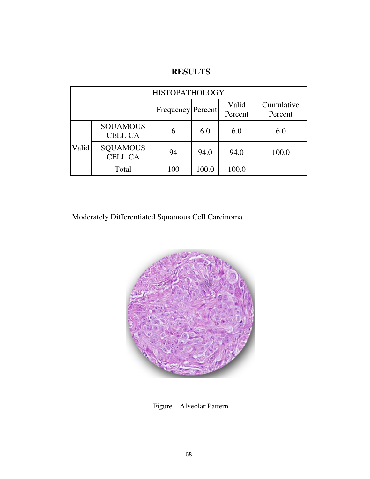| <b>RESULTS</b> |
|----------------|
|                |

| <b>HISTOPATHOLOGY</b> |                                   |                     |       |                  |                       |  |  |
|-----------------------|-----------------------------------|---------------------|-------|------------------|-----------------------|--|--|
|                       |                                   | Frequency   Percent |       | Valid<br>Percent | Cumulative<br>Percent |  |  |
| Valid                 | <b>SOUAMOUS</b><br><b>CELL CA</b> | 6                   | 6.0   | 6.0              | 6.0                   |  |  |
|                       | <b>SQUAMOUS</b><br><b>CELL CA</b> | 94                  | 94.0  | 94.0             | 100.0                 |  |  |
|                       | Total                             | 100                 | 100.0 | 100.0            |                       |  |  |

Moderately Differentiated Squamous Cell Carcinoma



Figure – Alveolar Pattern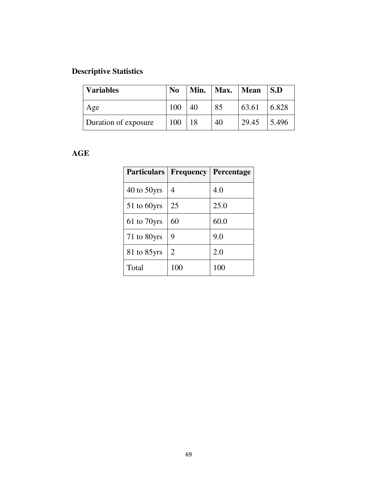# **Descriptive Statistics**

| <b>Variables</b>     | N <sub>0</sub> | Min. | Max. | Mean  | S.D   |
|----------------------|----------------|------|------|-------|-------|
| Age                  | 100            | 40   | 85   | 63.61 | 6.828 |
| Duration of exposure | 100            | 18   | 40   | 29.45 | 5.496 |

## **AGE**

| <b>Particulars</b> | <b>Frequency</b> | <b>Percentage</b> |
|--------------------|------------------|-------------------|
| $40$ to $50$ yrs   | 4                | 4.0               |
| $51$ to 60 yrs     | 25               | 25.0              |
| $61$ to $70$ yrs   | 60               | 60.0              |
| 71 to $80$ yrs     | 9                | 9.0               |
| 81 to 85 yrs       | 2                | 2.0               |
| Total              | 100              | 100               |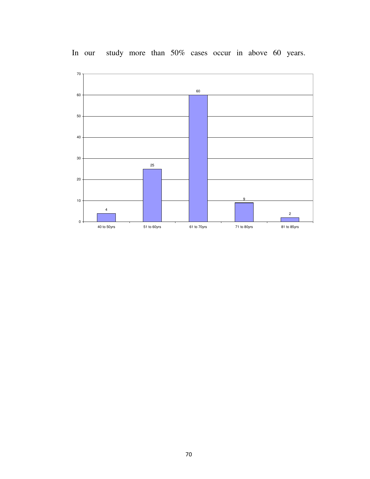

In our study more than 50% cases occur in above 60 years.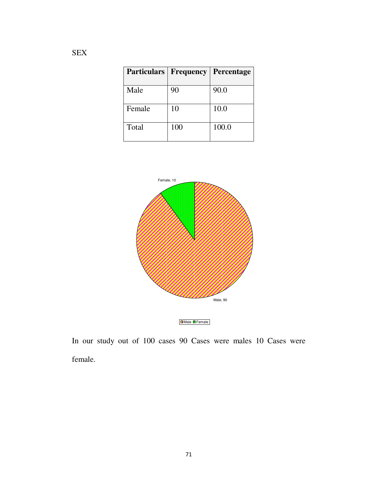| Particulars | <b>Frequency</b> | <b>Percentage</b> |  |  |  |
|-------------|------------------|-------------------|--|--|--|
| Male        | 90               | 90.0              |  |  |  |
| Female      | 10               | 10.0              |  |  |  |
| Total       | 100              | 100.0             |  |  |  |



In our study out of 100 cases 90 Cases were males 10 Cases were female.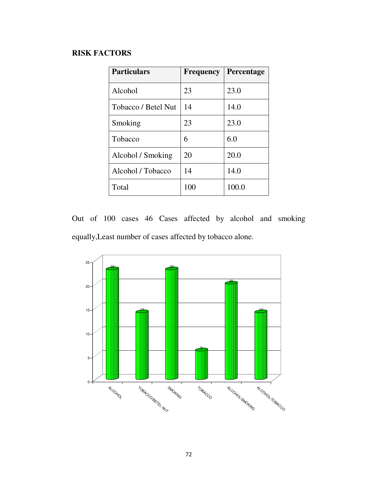### **RISK FACTORS**

| <b>Particulars</b>  | <b>Frequency</b> | Percentage |
|---------------------|------------------|------------|
| Alcohol             | 23               | 23.0       |
| Tobacco / Betel Nut | 14               | 14.0       |
| Smoking             | 23               | 23.0       |
| Tobacco             | 6                | 6.0        |
| Alcohol / Smoking   | 20               | 20.0       |
| Alcohol / Tobacco   | 14               | 14.0       |
| Total               | 100              | 100.0      |

Out of 100 cases 46 Cases affected by alcohol and smoking equally,Least number of cases affected by tobacco alone.

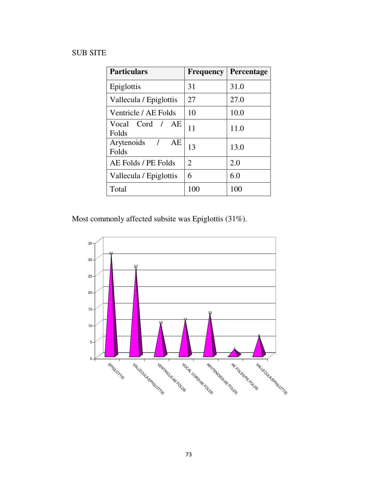## SUB SITE

| <b>Particulars</b>          | <b>Frequency</b> | Percentage |
|-----------------------------|------------------|------------|
| Epiglottis                  | 31               | 31.0       |
| Vallecula / Epiglottis      | 27               | 27.0       |
| Ventricle / AE Folds        | 10               | 10.0       |
| Vocal Cord / AE<br>Folds    | 11               | 11.0       |
| Arytenoids /<br>AE<br>Folds | 13               | 13.0       |
| AE Folds / PE Folds         | 2                | 2.0        |
| Vallecula / Epiglottis      | 6                | 6.0        |
| Total                       | 100              | 100        |

Most commonly affected subsite was Epiglottis (31%).

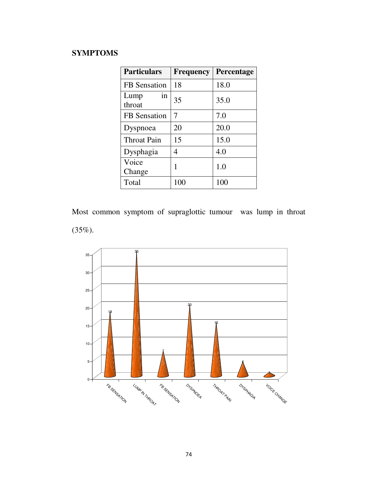### **SYMPTOMS**

| <b>Particulars</b>   | <b>Frequency</b> | Percentage |  |  |
|----------------------|------------------|------------|--|--|
| <b>FB</b> Sensation  | 18               | 18.0       |  |  |
| Lump<br>in<br>throat | 35               | 35.0       |  |  |
| <b>FB</b> Sensation  | 7                | 7.0        |  |  |
| Dyspnoea             | 20               | 20.0       |  |  |
| <b>Throat Pain</b>   | 15               | 15.0       |  |  |
| Dysphagia            | 4                | 4.0        |  |  |
| Voice<br>Change      | 1                | 1.0        |  |  |
| Total                | 100              | 100        |  |  |

Most common symptom of supraglottic tumour was lump in throat  $(35\%).$ 

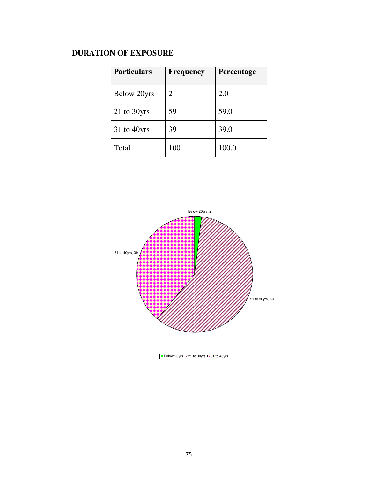## **DURATION OF EXPOSURE**

| <b>Particulars</b> | <b>Frequency</b> | Percentage |
|--------------------|------------------|------------|
| Below 20yrs        | 2                | 2.0        |
| 21 to 30yrs        | 59               | 59.0       |
| $31$ to $40$ yrs   | 39               | 39.0       |
| Total              | 100              | 100.0      |



Below 20yrs 21 to 30yrs 231 to 40yrs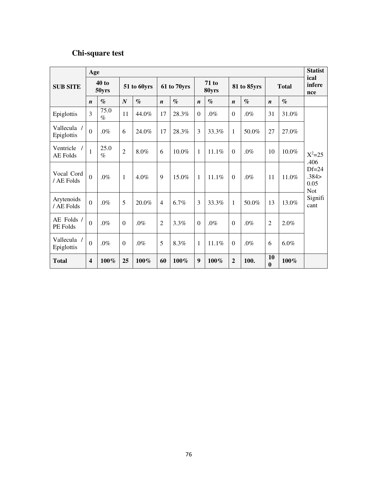## **Chi-square test**

|                                            |                         | Age              |                  |             |                  |             |                  |                       |                  |             |                  |              | <b>Statist</b>                                 |
|--------------------------------------------|-------------------------|------------------|------------------|-------------|------------------|-------------|------------------|-----------------------|------------------|-------------|------------------|--------------|------------------------------------------------|
| <b>SUB SITE</b>                            |                         | $40$ to<br>50yrs |                  | 51 to 60yrs |                  | 61 to 70yrs |                  | <b>71 to</b><br>80yrs |                  | 81 to 85yrs |                  | <b>Total</b> | ical<br>infere<br>nce                          |
|                                            | $\boldsymbol{n}$        | $\%$             | $\boldsymbol{N}$ | $\%$        | $\boldsymbol{n}$ | $\%$        | $\boldsymbol{n}$ | $\%$                  | $\boldsymbol{n}$ | $\%$        | $\boldsymbol{n}$ | $\%$         |                                                |
| Epiglottis                                 | 3                       | 75.0<br>$\%$     | 11               | 44.0%       | 17               | 28.3%       | $\boldsymbol{0}$ | $.0\%$                | $\Omega$         | .0%         | 31               | 31.0%        |                                                |
| Vallecula /<br>Epiglottis                  | $\overline{0}$          | $.0\%$           | 6                | 24.0%       | 17               | 28.3%       | 3                | 33.3%                 | 1                | 50.0%       | 27               | 27.0%        |                                                |
| Ventricle<br>$\sqrt{ }$<br><b>AE</b> Folds | $\mathbf{1}$            | 25.0<br>$\%$     | $\overline{2}$   | 8.0%        | 6                | $10.0\%$    | 1                | 11.1%                 | $\overline{0}$   | .0%         | 10               | 10.0%        | $X^2 = 25$                                     |
| Vocal Cord<br>/ AE Folds                   | $\overline{0}$          | $.0\%$           | $\mathbf{1}$     | 4.0%        | 9                | 15.0%       | $\mathbf{1}$     | 11.1%                 | $\boldsymbol{0}$ | $.0\%$      | 11               | 11.0%        | .406<br>$Df=24$<br>.384><br>0.05<br><b>Not</b> |
| Arytenoids<br>/ AE Folds                   | $\overline{0}$          | $.0\%$           | 5                | 20.0%       | $\overline{4}$   | 6.7%        | 3                | 33.3%                 | 1                | 50.0%       | 13               | 13.0%        | Signifi<br>cant                                |
| AE Folds /<br>PE Folds                     | $\overline{0}$          | $.0\%$           | $\overline{0}$   | $.0\%$      | $\overline{2}$   | 3.3%        | $\boldsymbol{0}$ | $.0\%$                | $\Omega$         | $.0\%$      | $\overline{2}$   | $2.0\%$      |                                                |
| Vallecula /<br>Epiglottis                  | $\overline{0}$          | $.0\%$           | $\overline{0}$   | $.0\%$      | 5                | 8.3%        | 1                | 11.1%                 | $\overline{0}$   | $.0\%$      | 6                | $6.0\%$      |                                                |
| <b>Total</b>                               | $\overline{\mathbf{4}}$ | 100%             | 25               | 100%        | 60               | 100%        | 9                | 100%                  | $\overline{2}$   | 100.        | 10<br>$\bf{0}$   | 100%         |                                                |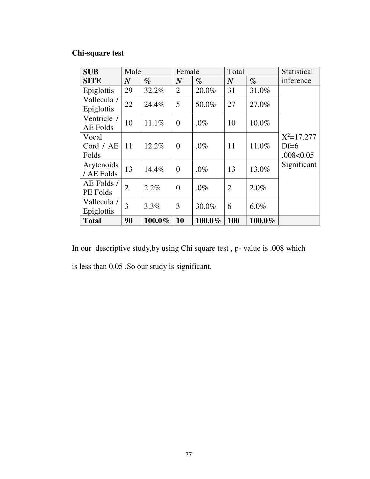## **Chi-square test**

| <b>SUB</b>      | Male             |        | Female           |        | Total            |         | Statistical  |
|-----------------|------------------|--------|------------------|--------|------------------|---------|--------------|
| <b>SITE</b>     | $\boldsymbol{N}$ | $\%$   | $\boldsymbol{N}$ | $\%$   | $\boldsymbol{N}$ | $\%$    | inference    |
| Epiglottis      | 29               | 32.2%  | $\overline{2}$   | 20.0%  | 31               | 31.0%   |              |
| Vallecula /     | 22               | 24.4%  | 5                | 50.0%  | 27               | 27.0%   |              |
| Epiglottis      |                  |        |                  |        |                  |         |              |
| Ventricle /     | 10               | 11.1%  | $\overline{0}$   | $.0\%$ | 10               | 10.0%   |              |
| <b>AE</b> Folds |                  |        |                  |        |                  |         |              |
| Vocal           |                  |        |                  |        |                  |         | $X^2=17.277$ |
| Cord / AE       | 11               | 12.2%  | $\overline{0}$   | $.0\%$ | 11               | 11.0%   | $Df=6$       |
| Folds           |                  |        |                  |        |                  |         | .008<0.05    |
| Arytenoids      | 13               | 14.4%  | $\overline{0}$   | $.0\%$ | 13               | 13.0%   | Significant  |
| / AE Folds      |                  |        |                  |        |                  |         |              |
| AE Folds /      | $\overline{2}$   | 2.2%   | $\overline{0}$   | $.0\%$ | $\overline{2}$   | 2.0%    |              |
| PE Folds        |                  |        |                  |        |                  |         |              |
| Vallecula /     | 3                | 3.3%   | 3                | 30.0%  | 6                | $6.0\%$ |              |
| Epiglottis      |                  |        |                  |        |                  |         |              |
| <b>Total</b>    | 90               | 100.0% | 10               | 100.0% | 100              | 100.0%  |              |

In our descriptive study,by using Chi square test , p- value is .008 which is less than 0.05 .So our study is significant.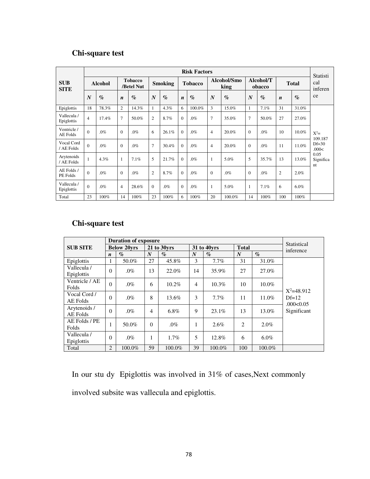## **Chi-square test**

|                               | <b>Risk Factors</b> |                 |                                                |        |                  |                 |                     |                 |                     |                 |                  | Statisti        |                  |                 |                         |
|-------------------------------|---------------------|-----------------|------------------------------------------------|--------|------------------|-----------------|---------------------|-----------------|---------------------|-----------------|------------------|-----------------|------------------|-----------------|-------------------------|
| <b>SUB</b><br><b>SITE</b>     | <b>Alcohol</b>      |                 | <b>Tobacco</b><br><b>Smoking</b><br>/Betel Nut |        | <b>Tobacco</b>   |                 | Alcohol/Smo<br>king |                 | Alcohol/T<br>obacco |                 | <b>Total</b>     |                 | cal<br>inferen   |                 |                         |
|                               | N                   | $\mathcal{G}_0$ | $\boldsymbol{n}$                               | $\%$   | $\boldsymbol{N}$ | $\mathcal{G}_0$ | $\boldsymbol{n}$    | $\mathcal{G}_0$ | $\boldsymbol{N}$    | $\mathcal{G}_0$ | $\boldsymbol{N}$ | $\mathcal{O}_0$ | $\boldsymbol{n}$ | $\mathcal{G}_0$ | ce                      |
| Epiglottis                    | 18                  | 78.3%           | $\overline{2}$                                 | 14.3%  | 1                | $4.3\%$         | 6                   | 100.0%          | 3                   | 15.0%           | 1                | 7.1%            | 31               | 31.0%           |                         |
| Vallecula /<br>Epiglottis     | $\overline{4}$      | 17.4%           | 7                                              | 50.0%  | $\overline{c}$   | 8.7%            | $\overline{0}$      | $.0\%$          | $\overline{7}$      | 35.0%           | 7                | 50.0%           | 27               | 27.0%           |                         |
| Ventricle/<br><b>AE Folds</b> | $\Omega$            | .0%             | $\Omega$                                       | $.0\%$ | 6                | 26.1%           | $\Omega$            | .0%             | $\overline{4}$      | 20.0%           | $\mathbf{0}$     | .0%             | 10               | 10.0%           | $X^2=$<br>109.187       |
| Vocal Cord<br>/ AE Folds      | $\Omega$            | .0%             | $\Omega$                                       | $.0\%$ | 7                | 30.4%           | $\Omega$            | .0%             | $\overline{4}$      | 20.0%           | $\theta$         | .0%             | 11               | 11.0%           | $Df=30$<br>.000<        |
| Arytenoids<br>/ AE Folds      |                     | 4.3%            | 1                                              | 7.1%   | 5                | 21.7%           | $\Omega$            | .0%             | 1                   | 5.0%            | 5                | 35.7%           | 13               | 13.0%           | 0.05<br>Significa<br>nt |
| AE Folds /<br>PE Folds        | $\Omega$            | .0%             | $\Omega$                                       | $.0\%$ | $\overline{2}$   | 8.7%            | $\Omega$            | .0%             | $\Omega$            | $.0\%$          | $\mathbf{0}$     | $.0\%$          | $\overline{2}$   | 2.0%            |                         |
| Vallecula /<br>Epiglottis     | $\Omega$            | .0%             | $\overline{4}$                                 | 28.6%  | $\Omega$         | $.0\%$          | $\Omega$            | .0%             | 1                   | 5.0%            | 1                | 7.1%            | 6                | $6.0\%$         |                         |
| Total                         | 23                  | 100%            | 14                                             | 100%   | 23               | 100%            | 6                   | 100%            | 20                  | 100.0%          | 14               | 100%            | 100              | 100%            |                         |

## **Chi-square test**

|                           |                    | <b>Duration of exposure</b> | Statistical |             |    |                 |                  |                |                      |
|---------------------------|--------------------|-----------------------------|-------------|-------------|----|-----------------|------------------|----------------|----------------------|
| <b>SUB SITE</b>           | <b>Below 20vrs</b> |                             |             | 21 to 30yrs |    | 31 to 40yrs     | <b>Total</b>     |                | inference            |
|                           | $\boldsymbol{n}$   | $\mathcal{O}_0$             | N           | $\%$        | N  | $\mathcal{O}_0$ | $\boldsymbol{N}$ | $\mathcal{O}'$ |                      |
| Epiglottis                | -1                 | 50.0%                       | 27          | 45.8%       | 3  | 7.7%            | 31               | 31.0%          |                      |
| Vallecula /<br>Epiglottis | $\Omega$           | $.0\%$                      | 13          | 22.0%       | 14 | 35.9%           | 27               | 27.0%          |                      |
| Ventricle / AE<br>Folds   | $\Omega$           | $.0\%$                      | 6           | $10.2\%$    | 4  | $10.3\%$        | 10               | $10.0\%$       | $X^2 = 48.912$       |
| Vocal Cord /<br>AE Folds  | $\theta$           | $.0\%$                      | 8           | 13.6%       | 3  | 7.7%            | 11               | 11.0%          | $Df=12$<br>.000<0.05 |
| Arytenoids /<br>AE Folds  | $\Omega$           | $.0\%$                      | 4           | $6.8\%$     | 9  | 23.1%           | 13               | 13.0%          | Significant          |
| AE Folds / PE<br>Folds    |                    | 50.0%                       | 0           | $.0\%$      | 1  | 2.6%            | 2                | 2.0%           |                      |
| Vallecula /<br>Epiglottis | $\Omega$           | $.0\%$                      | 1<br>Ι.     | $1.7\%$     | 5  | 12.8%           | 6                | $6.0\%$        |                      |
| Total                     | $\overline{2}$     | 100.0%                      | 59          | 100.0%      | 39 | 100.0%          | 100              | 100.0%         |                      |

In our stu dy Epiglottis was involved in 31% of cases,Next commonly involved subsite was vallecula and epiglottis.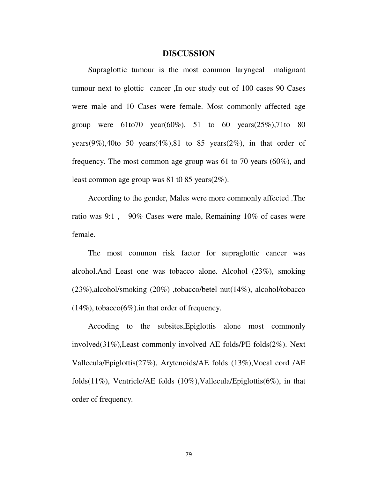#### **DISCUSSION**

Supraglottic tumour is the most common laryngeal malignant tumour next to glottic cancer ,In our study out of 100 cases 90 Cases were male and 10 Cases were female. Most commonly affected age group were  $61t070 \text{ year}(60\%)$ , 51 to 60 years $(25\%)$ , 71to 80 years(9%),40to 50 years(4%),81 to 85 years(2%), in that order of frequency. The most common age group was 61 to 70 years (60%), and least common age group was 81 t0 85 years(2%).

According to the gender, Males were more commonly affected .The ratio was 9:1 , 90% Cases were male, Remaining 10% of cases were female.

The most common risk factor for supraglottic cancer was alcohol.And Least one was tobacco alone. Alcohol (23%), smoking (23%),alcohol/smoking (20%) ,tobacco/betel nut(14%), alcohol/tobacco  $(14\%)$ , tobacco(6%). in that order of frequency.

Accoding to the subsites,Epiglottis alone most commonly involved(31%),Least commonly involved AE folds/PE folds(2%). Next Vallecula/Epiglottis(27%), Arytenoids/AE folds (13%),Vocal cord /AE folds(11%), Ventricle/AE folds (10%),Vallecula/Epiglottis(6%), in that order of frequency.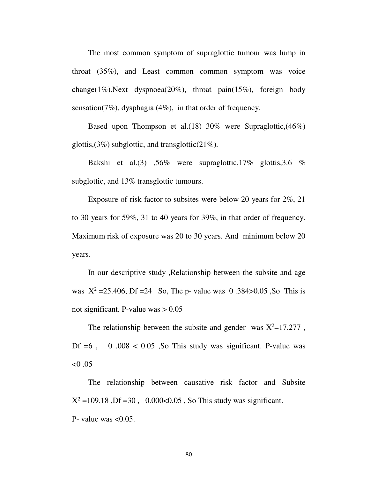The most common symptom of supraglottic tumour was lump in throat (35%), and Least common common symptom was voice change(1%). Next dyspnoea(20%), throat pain(15%), foreign body sensation(7%), dysphagia (4%), in that order of frequency.

Based upon Thompson et al.(18) 30% were Supraglottic,(46%) glottis,  $(3\%)$  subglottic, and transglottic  $(21\%)$ .

Bakshi et al.(3) ,56% were supraglottic,17% glottis,3.6 % subglottic, and 13% transglottic tumours.

Exposure of risk factor to subsites were below 20 years for 2%, 21 to 30 years for 59%, 31 to 40 years for 39%, in that order of frequency. Maximum risk of exposure was 20 to 30 years. And minimum below 20 years.

In our descriptive study ,Relationship between the subsite and age was  $X^2 = 25.406$ , Df = 24 So, The p- value was 0.384 > 0.05, So This is not significant. P-value was  $> 0.05$ 

The relationship between the subsite and gender was  $X^2=17.277$ , Df  $=6$ , 0.008  $< 0.05$ , So This study was significant. P-value was  $< 0.05$ 

The relationship between causative risk factor and Subsite  $X^2 = 109.18$ , Df = 30, 0.000<0.05, So This study was significant. P- value was  $<0.05$ .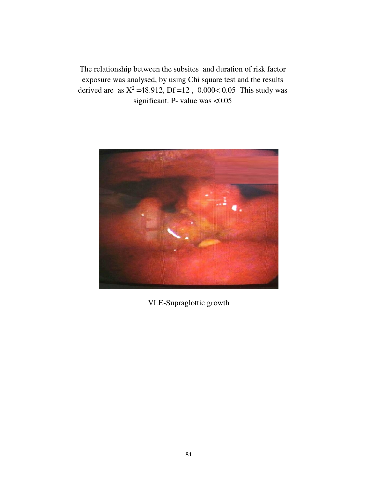The relationship between the subsites and duration of risk factor exposure was analysed, by using Chi square test and the results derived are as  $X^2 = 48.912$ , Df = 12, 0.000 < 0.05 This study was significant. P- value was <0.05



VLE-Supraglottic growth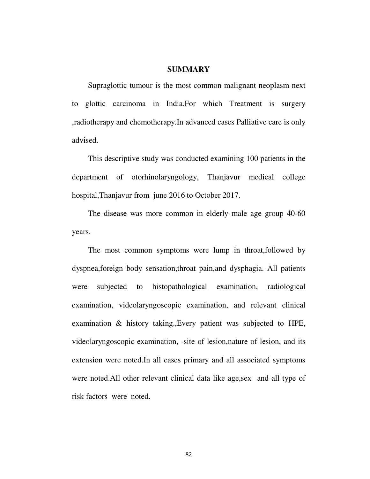#### **SUMMARY**

Supraglottic tumour is the most common malignant neoplasm next to glottic carcinoma in India.For which Treatment is surgery ,radiotherapy and chemotherapy.In advanced cases Palliative care is only advised.

This descriptive study was conducted examining 100 patients in the department of otorhinolaryngology, Thanjavur medical college hospital,Thanjavur from june 2016 to October 2017.

The disease was more common in elderly male age group 40-60 years.

The most common symptoms were lump in throat,followed by dyspnea,foreign body sensation,throat pain,and dysphagia. All patients were subjected to histopathological examination, radiological examination, videolaryngoscopic examination, and relevant clinical examination & history taking.,Every patient was subjected to HPE, videolaryngoscopic examination, -site of lesion,nature of lesion, and its extension were noted.In all cases primary and all associated symptoms were noted.All other relevant clinical data like age,sex and all type of risk factors were noted.

82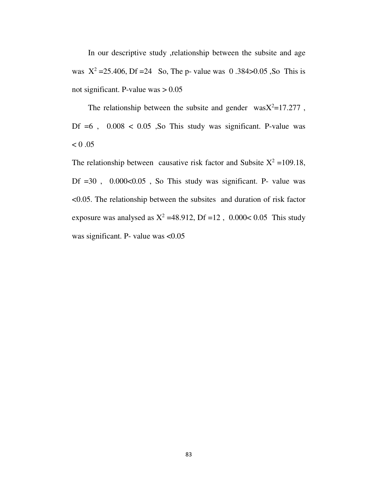In our descriptive study ,relationship between the subsite and age was  $X^2 = 25.406$ , Df = 24 So, The p- value was 0.384 > 0.05, So This is not significant. P-value was  $> 0.05$ 

The relationship between the subsite and gender was $X^2$ =17.277, Df  $=6$ ,  $0.008 < 0.05$ , So This study was significant. P-value was  $< 0.05$ 

The relationship between causative risk factor and Subsite  $X^2 = 109.18$ , Df  $=30$ ,  $0.000<0.05$ , So This study was significant. P- value was <0.05. The relationship between the subsites and duration of risk factor exposure was analysed as  $X^2 = 48.912$ , Df =12, 0.000< 0.05 This study was significant. P- value was  $\leq 0.05$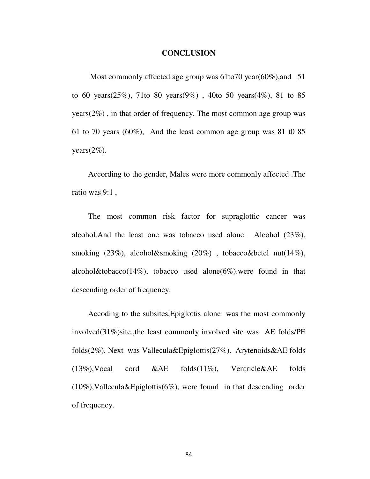#### **CONCLUSION**

Most commonly affected age group was 61to70 year(60%), and 51 to 60 years(25%), 71to 80 years(9%) , 40to 50 years(4%), 81 to 85  $years(2\%)$ , in that order of frequency. The most common age group was 61 to 70 years (60%), And the least common age group was 81 t0 85 years $(2\%)$ .

According to the gender, Males were more commonly affected .The ratio was 9:1 ,

The most common risk factor for supraglottic cancer was alcohol.And the least one was tobacco used alone. Alcohol (23%), smoking (23%), alcohol&smoking (20%), tobacco&betel nut(14%), alcohol&tobacco(14%), tobacco used alone(6%).were found in that descending order of frequency.

Accoding to the subsites,Epiglottis alone was the most commonly involved(31%)site.,the least commonly involved site was AE folds/PE folds(2%). Next was Vallecula&Epiglottis(27%). Arytenoids&AE folds (13%),Vocal cord &AE folds(11%), Ventricle&AE folds  $(10\%)$ , Vallecula & Epiglottis( $6\%$ ), were found in that descending order of frequency.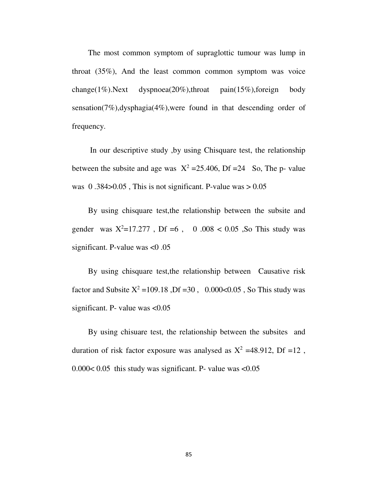The most common symptom of supraglottic tumour was lump in throat (35%), And the least common common symptom was voice change(1%).Next dyspnoea(20%),throat pain(15%),foreign body sensation(7%),dysphagia(4%),were found in that descending order of frequency.

 In our descriptive study ,by using Chisquare test, the relationship between the subsite and age was  $X^2 = 25.406$ , Df = 24 So, The p- value was  $0.384 > 0.05$ , This is not significant. P-value was  $> 0.05$ 

By using chisquare test,the relationship between the subsite and gender was  $X^2 = 17.277$ , Df = 6, 0.008 < 0.05, So This study was significant. P-value was <0 .05

By using chisquare test,the relationship between Causative risk factor and Subsite  $X^2 = 109.18$ ,  $Df = 30$ , 0.000<0.05, So This study was significant. P- value was  $<0.05$ 

By using chisuare test, the relationship between the subsites and duration of risk factor exposure was analysed as  $X^2 = 48.912$ , Df = 12,  $0.000< 0.05$  this study was significant. P- value was  $< 0.05$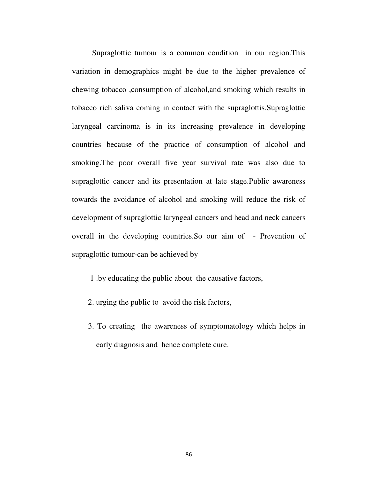Supraglottic tumour is a common condition in our region.This variation in demographics might be due to the higher prevalence of chewing tobacco ,consumption of alcohol,and smoking which results in tobacco rich saliva coming in contact with the supraglottis.Supraglottic laryngeal carcinoma is in its increasing prevalence in developing countries because of the practice of consumption of alcohol and smoking.The poor overall five year survival rate was also due to supraglottic cancer and its presentation at late stage.Public awareness towards the avoidance of alcohol and smoking will reduce the risk of development of supraglottic laryngeal cancers and head and neck cancers overall in the developing countries.So our aim of - Prevention of supraglottic tumour-can be achieved by

- 1 .by educating the public about the causative factors,
- 2. urging the public to avoid the risk factors,
- 3. To creating the awareness of symptomatology which helps in early diagnosis and hence complete cure.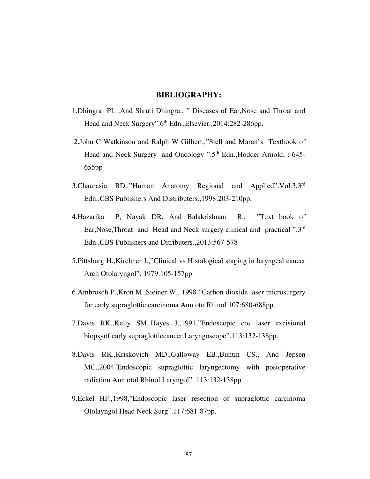#### **BIBLIOGRAPHY:**

- 1.Dhingra PL ,And Shruti Dhingra., " Diseases of Ear,Nose and Throat and Head and Neck Surgery".6<sup>th</sup> Edn., Elsevier., 2014: 282-286pp.
- 2.John C Watkinson and Ralph W Gilbert,."Stell and Maran's Textbook of Head and Neck Surgery and Oncology ".5<sup>th</sup> Edn., Hodder Arnold, : 645-655pp
- 3.Chaurasia BD.,"Human Anatomy Regional and Applied".Vol.3,3rd Edn.,CBS Publishers And Distributers.,1998:203-210pp.
- 4.Hazarika P, Nayak DR, And Balakrishnan R., "Text book of Ear,Nose,Throat and Head and Neck surgery clinical and practical ".3rd Edn.,CBS Publishers and Ditributers.,2013:567-578
- 5.Pittsburg H.,Kirchner J.,"Clinical vs Histalogical staging in laryngeal cancer Arch Otolaryngol". 1979:105-157pp
- 6.Ambrosch P.,Kron M.,Sieiner W., 1998 "Carbon dioxide laser microsurgery for early supraglottic carcinoma Ann oto Rhinol 107:680-688pp.
- 7. Davis RK., Kelly SM., Hayes J., 1991, "Endoscopic co<sub>2</sub> laser excisional biopsyof early supraglotticcancer.Laryngoscope".113:132-138pp.
- 8.Davis RK.,Kriskovich MD.,Galloway EB.,Buntin CS., And Jepsen MC.,2004"Endoscopic supraglottic laryngectomy with postoperative radiation Ann otol Rhinol Laryngol". 113:132-138pp.
- 9.Eckel HF.,1998,"Endoscopic laser resection of supraglottic carcinoma Otolayngol Head Neck Surg".117:681-87pp.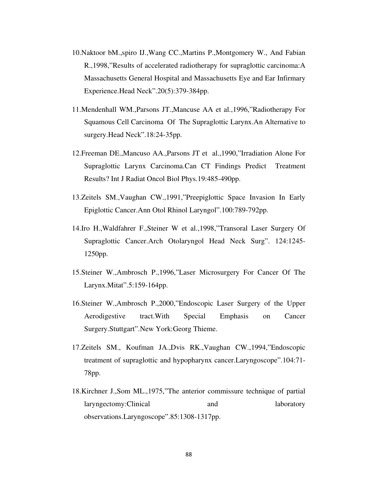- 10.Naktoor bM.,spiro IJ.,Wang CC.,Martins P.,Montgomery W., And Fabian R.,1998,"Results of accelerated radiotherapy for supraglottic carcinoma:A Massachusetts General Hospital and Massachusetts Eye and Ear Infirmary Experience.Head Neck".20(5):379-384pp.
- 11.Mendenhall WM.,Parsons JT.,Mancuse AA et al.,1996,"Radiotherapy For Squamous Cell Carcinoma Of The Supraglottic Larynx.An Alternative to surgery.Head Neck".18:24-35pp.
- 12.Freeman DE.,Mancuso AA.,Parsons JT et al.,1990,"Irradiation Alone For Supraglottic Larynx Carcinoma.Can CT Findings Predict Treatment Results? Int J Radiat Oncol Biol Phys.19:485-490pp.
- 13.Zeitels SM.,Vaughan CW.,1991,"Preepiglottic Space Invasion In Early Epiglottic Cancer.Ann Otol Rhinol Laryngol".100:789-792pp.
- 14.Iro H.,Waldfahrer F.,Steiner W et al.,1998,"Transoral Laser Surgery Of Supraglottic Cancer.Arch Otolaryngol Head Neck Surg". 124:1245- 1250pp.
- 15.Steiner W.,Ambrosch P.,1996,"Laser Microsurgery For Cancer Of The Larynx.Mitat".5:159-164pp.
- 16.Steiner W.,Ambrosch P.,2000,"Endoscopic Laser Surgery of the Upper Aerodigestive tract.With Special Emphasis on Cancer Surgery.Stuttgart".New York:Georg Thieme.
- 17.Zeitels SM., Koufman JA.,Dvis RK.,Vaughan CW.,1994,"Endoscopic treatment of supraglottic and hypopharynx cancer.Laryngoscope".104:71- 78pp.
- 18.Kirchner J.,Som ML.,1975,"The anterior commissure technique of partial laryngectomy:Clinical and laboratory observations.Laryngoscope".85:1308-1317pp.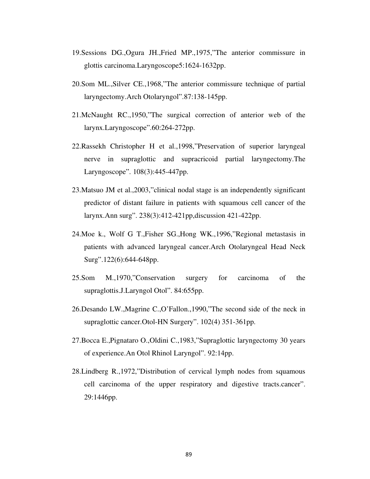- 19.Sessions DG.,Ogura JH.,Fried MP.,1975,"The anterior commissure in glottis carcinoma.Laryngoscope5:1624-1632pp.
- 20.Som ML.,Silver CE.,1968,"The anterior commissure technique of partial laryngectomy.Arch Otolaryngol".87:138-145pp.
- 21.McNaught RC.,1950,"The surgical correction of anterior web of the larynx.Laryngoscope".60:264-272pp.
- 22.Rassekh Christopher H et al.,1998,"Preservation of superior laryngeal nerve in supraglottic and supracricoid partial laryngectomy.The Laryngoscope". 108(3):445-447pp.
- 23.Matsuo JM et al.,2003,"clinical nodal stage is an independently significant predictor of distant failure in patients with squamous cell cancer of the larynx.Ann surg". 238(3):412-421pp,discussion 421-422pp.
- 24.Moe k., Wolf G T.,Fisher SG.,Hong WK.,1996,"Regional metastasis in patients with advanced laryngeal cancer.Arch Otolaryngeal Head Neck Surg".122(6):644-648pp.
- 25.Som M.,1970,"Conservation surgery for carcinoma of the supraglottis.J.Laryngol Otol". 84:655pp.
- 26.Desando LW.,Magrine C.,O'Fallon.,1990,"The second side of the neck in supraglottic cancer.Otol-HN Surgery". 102(4) 351-361pp.
- 27.Bocca E.,Pignataro O.,Oldini C.,1983,"Supraglottic laryngectomy 30 years of experience.An Otol Rhinol Laryngol". 92:14pp.
- 28.Lindberg R.,1972,"Distribution of cervical lymph nodes from squamous cell carcinoma of the upper respiratory and digestive tracts.cancer". 29:1446pp.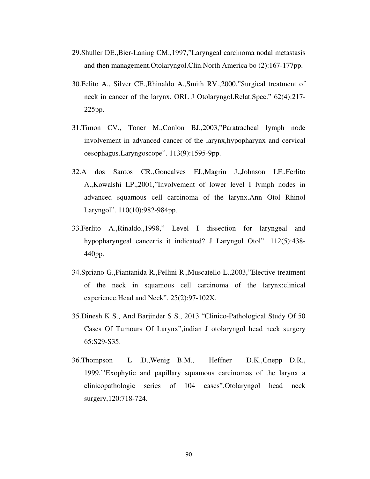- 29.Shuller DE.,Bier-Laning CM.,1997,"Laryngeal carcinoma nodal metastasis and then management.Otolaryngol.Clin.North America bo (2):167-177pp.
- 30.Felito A., Silver CE.,Rhinaldo A.,Smith RV.,2000,"Surgical treatment of neck in cancer of the larynx. ORL J Otolaryngol.Relat.Spec." 62(4):217- 225pp.
- 31.Timon CV., Toner M.,Conlon BJ.,2003,"Paratracheal lymph node involvement in advanced cancer of the larynx,hypopharynx and cervical oesophagus.Laryngoscope". 113(9):1595-9pp.
- 32.A dos Santos CR.,Goncalves FJ.,Magrin J.,Johnson LF.,Ferlito A.,Kowalshi LP.,2001,"Involvement of lower level I lymph nodes in advanced squamous cell carcinoma of the larynx.Ann Otol Rhinol Laryngol". 110(10):982-984pp.
- 33.Ferlito A.,Rinaldo.,1998," Level I dissection for laryngeal and hypopharyngeal cancer:is it indicated? J Laryngol Otol". 112(5):438- 440pp.
- 34.Spriano G.,Piantanida R.,Pellini R.,Muscatello L.,2003,"Elective treatment of the neck in squamous cell carcinoma of the larynx:clinical experience.Head and Neck". 25(2):97-102X.
- 35.Dinesh K S., And Barjinder S S., 2013 "Clinico-Pathological Study Of 50 Cases Of Tumours Of Larynx",indian J otolaryngol head neck surgery 65:S29-S35.
- 36.Thompson L .D.,Wenig B.M., Heffner D.K.,Gnepp D.R., 1999,''Exophytic and papillary squamous carcinomas of the larynx a clinicopathologic series of 104 cases".Otolaryngol head neck surgery,120:718-724.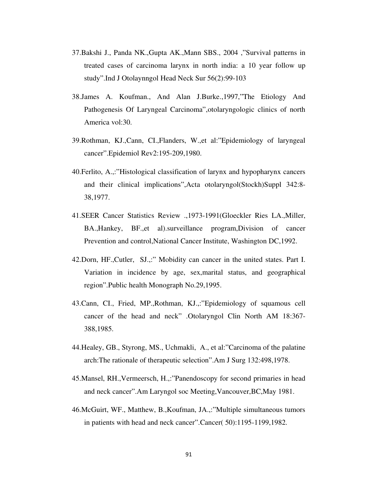- 37.Bakshi J., Panda NK.,Gupta AK.,Mann SBS., 2004 ,"Survival patterns in treated cases of carcinoma larynx in north india: a 10 year follow up study".Ind J Otolaynngol Head Neck Sur 56(2):99-103
- 38.James A. Koufman., And Alan J.Burke.,1997,"The Etiology And Pathogenesis Of Laryngeal Carcinoma",otolaryngologic clinics of north America vol:30.
- 39.Rothman, KJ.,Cann, CI.,Flanders, W.,et al:"Epidemiology of laryngeal cancer".Epidemiol Rev2:195-209,1980.
- 40.Ferlito, A.,:"Histological classification of larynx and hypopharynx cancers and their clinical implications",Acta otolaryngol(Stockh)Suppl 342:8- 38,1977.
- 41.SEER Cancer Statistics Review .,1973-1991(Gloeckler Ries LA.,Miller, BA.,Hankey, BF.,et al).surveillance program,Division of cancer Prevention and control,National Cancer Institute, Washington DC,1992.
- 42.Dorn, HF.,Cutler, SJ.,:" Mobidity can cancer in the united states. Part I. Variation in incidence by age, sex,marital status, and geographical region".Public health Monograph No.29,1995.
- 43.Cann, CI., Fried, MP.,Rothman, KJ.,:"Epidemiology of squamous cell cancer of the head and neck" .Otolaryngol Clin North AM 18:367- 388,1985.
- 44.Healey, GB., Styrong, MS., Uchmakli, A., et al:"Carcinoma of the palatine arch:The rationale of therapeutic selection".Am J Surg 132:498,1978.
- 45.Mansel, RH.,Vermeersch, H.,:"Panendoscopy for second primaries in head and neck cancer".Am Laryngol soc Meeting,Vancouver,BC,May 1981.
- 46.McGuirt, WF., Matthew, B.,Koufman, JA.,:"Multiple simultaneous tumors in patients with head and neck cancer".Cancer( 50):1195-1199,1982.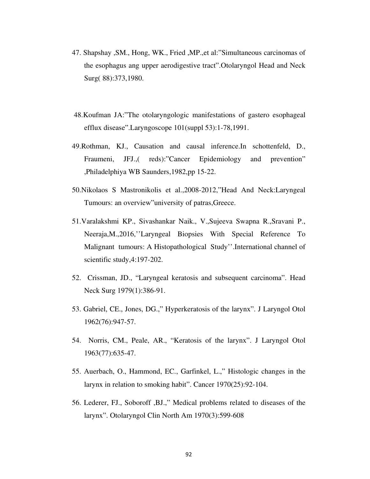- 47. Shapshay ,SM., Hong, WK., Fried ,MP.,et al:"Simultaneous carcinomas of the esophagus ang upper aerodigestive tract".Otolaryngol Head and Neck Surg( 88):373,1980.
- 48.Koufman JA:"The otolaryngologic manifestations of gastero esophageal efflux disease".Laryngoscope 101(suppl 53):1-78,1991.
- 49.Rothman, KJ., Causation and causal inference.In schottenfeld, D., Fraumeni, JFJ., reds):"Cancer Epidemiology and prevention" ,Philadelphiya WB Saunders,1982,pp 15-22.
- 50.Nikolaos S Mastronikolis et al.,2008-2012,"Head And Neck:Laryngeal Tumours: an overview"university of patras,Greece.
- 51.Varalakshmi KP., Sivashankar Naik., V.,Sujeeva Swapna R.,Sravani P., Neeraja,M.,2016,''Laryngeal Biopsies With Special Reference To Malignant tumours: A Histopathological Study''.International channel of scientific study,4:197-202.
- 52. Crissman, JD., "Laryngeal keratosis and subsequent carcinoma". Head Neck Surg 1979(1):386-91.
- 53. Gabriel, CE., Jones, DG.," Hyperkeratosis of the larynx". J Laryngol Otol 1962(76):947-57.
- 54. Norris, CM., Peale, AR., "Keratosis of the larynx". J Laryngol Otol 1963(77):635-47.
- 55. Auerbach, O., Hammond, EC., Garfinkel, L.," Histologic changes in the larynx in relation to smoking habit". Cancer 1970(25):92-104.
- 56. Lederer, FJ., Soboroff ,BJ.," Medical problems related to diseases of the larynx". Otolaryngol Clin North Am 1970(3):599-608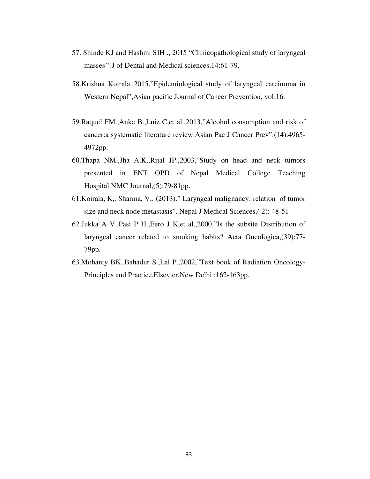- 57. Shinde KJ and Hashmi SIH ., 2015 "Clinicopathological study of laryngeal masses''.J of Dental and Medical sciences,14:61-79.
- 58.Krishna Koirala.,2015,"Epidemiological study of laryngeal carcinoma in Western Nepal",Asian pacific Journal of Cancer Prevention, vol:16.
- 59.Raquel FM.,Anke B.,Luiz C,et al.,2013,"Alcohol consumption and risk of cancer:a systematic literature review.Asian Pac J Cancer Prev".(14):4965- 4972pp.
- 60.Thapa NM.,Jha A.K.,Rijal JP.,2003,"Study on head and neck tumors presented in ENT OPD of Nepal Medical College Teaching Hospital.NMC Journal,(5):79-81pp.
- 61.Koirala, K,. Sharma, V,. (2013)." Laryngeal malignancy: relation of tumor size and neck node metastasis". Nepal J Medical Sciences,( 2): 48-51
- 62.Jukka A V.,Pasi P H.,Eero J K,et al.,2000,"Is the subsite Distribution of laryngeal cancer related to smoking habits? Acta Oncologica,(39):77- 79pp.
- 63.Mohanty BK.,Bahadur S.,Lal P.,2002,"Text book of Radiation Oncology-Principles and Practice,Elsevier,New Delhi :162-163pp.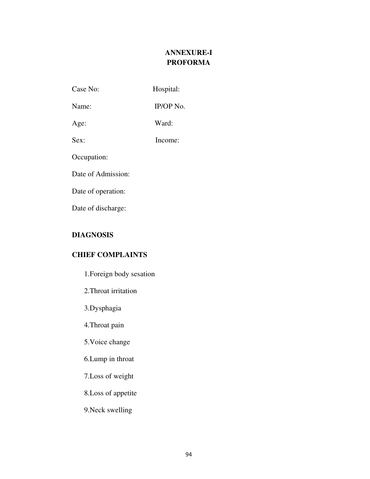### **ANNEXURE-I PROFORMA**

| Case No:           | Hospital: |
|--------------------|-----------|
| Name:              | IP/OP No. |
| Age:               | Ward:     |
| Sex:               | Income:   |
| Occupation:        |           |
| Date of Admission: |           |
|                    |           |

Date of operation:

Date of discharge:

### **DIAGNOSIS**

### **CHIEF COMPLAINTS**

| 1. Foreign body sesation |
|--------------------------|
| 2. Throat irritation     |
| 3.Dysphagia              |
| 4. Throat pain           |
| 5. Voice change          |
| 6. Lump in throat        |
| 7. Loss of weight        |
| 8. Loss of appetite      |
| 9. Neck swelling         |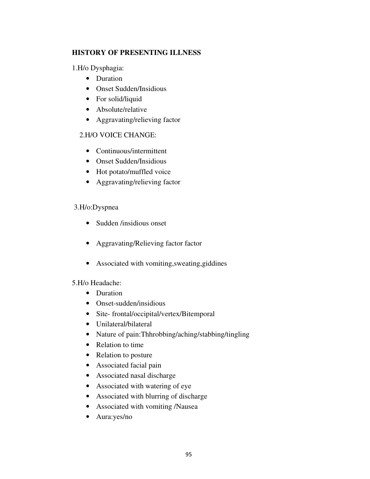### **HISTORY OF PRESENTING ILLNESS**

### 1.H/o Dysphagia:

- Duration
- Onset Sudden/Insidious
- For solid/liquid
- Absolute/relative
- Aggravating/relieving factor

### 2.H/O VOICE CHANGE:

- Continuous/intermittent
- Onset Sudden/Insidious
- Hot potato/muffled voice
- Aggravating/relieving factor

#### 3.H/o:Dyspnea

- Sudden /insidious onset
- Aggravating/Relieving factor factor
- Associated with vomiting, sweating, giddines

#### 5.H/o Headache:

- Duration
- Onset-sudden/insidious
- Site- frontal/occipital/vertex/Bitemporal
- Unilateral/bilateral
- Nature of pain: Thhrobbing/aching/stabbing/tingling
- Relation to time
- Relation to posture
- Associated facial pain
- Associated nasal discharge
- Associated with watering of eye
- Associated with blurring of discharge
- Associated with vomiting /Nausea
- Aura:yes/no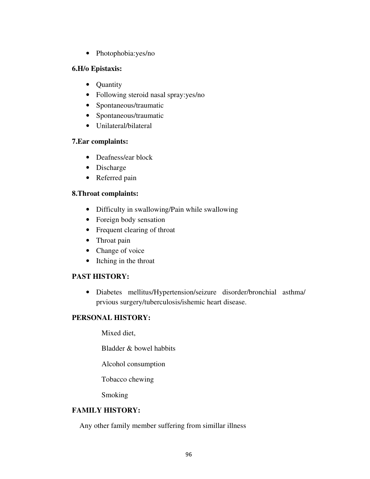• Photophobia:yes/no

#### **6.H/o Epistaxis:**

- Quantity
- Following steroid nasal spray:yes/no
- Spontaneous/traumatic
- Spontaneous/traumatic
- Unilateral/bilateral

### **7.Ear complaints:**

- Deafness/ear block
- Discharge
- Referred pain

#### **8.Throat complaints:**

- Difficulty in swallowing/Pain while swallowing
- Foreign body sensation
- Frequent clearing of throat
- Throat pain
- Change of voice
- Itching in the throat

### **PAST HISTORY:**

• Diabetes mellitus/Hypertension/seizure disorder/bronchial asthma/ prvious surgery/tuberculosis/ishemic heart disease.

#### **PERSONAL HISTORY:**

Mixed diet,

Bladder & bowel habbits

Alcohol consumption

Tobacco chewing

Smoking

#### **FAMILY HISTORY:**

Any other family member suffering from simillar illness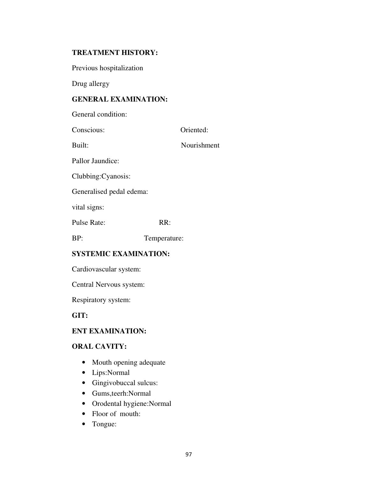#### **TREATMENT HISTORY:**

Previous hospitalization

Drug allergy

### **GENERAL EXAMINATION:**

| General condition:       |              |             |
|--------------------------|--------------|-------------|
| Conscious:               |              | Oriented:   |
| Built:                   |              | Nourishment |
| Pallor Jaundice:         |              |             |
| Clubbing:Cyanosis:       |              |             |
| Generalised pedal edema: |              |             |
| vital signs:             |              |             |
| <b>Pulse Rate:</b>       | RR:          |             |
| BP:                      | Temperature: |             |

#### **SYSTEMIC EXAMINATION:**

Cardiovascular system:

Central Nervous system:

Respiratory system:

#### **GIT:**

#### **ENT EXAMINATION:**

#### **ORAL CAVITY:**

- Mouth opening adequate
- Lips:Normal
- Gingivobuccal sulcus:
- Gums,teerh:Normal
- Orodental hygiene:Normal
- Floor of mouth:
- Tongue: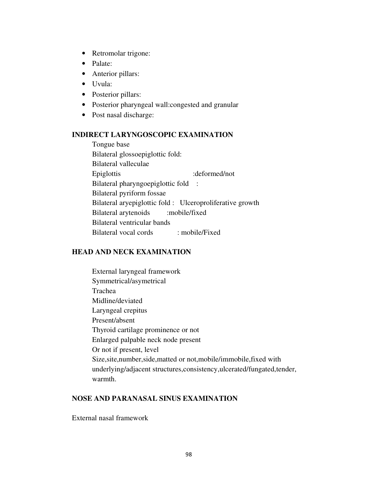- Retromolar trigone:
- Palate:
- Anterior pillars:
- Uvula:
- Posterior pillars:
- Posterior pharyngeal wall:congested and granular
- Post nasal discharge:

#### **INDIRECT LARYNGOSCOPIC EXAMINATION**

Tongue base Bilateral glossoepiglottic fold: Bilateral valleculae Epiglottis : deformed/not Bilateral pharyngoepiglottic fold : Bilateral pyriform fossae Bilateral aryepiglottic fold : Ulceroproliferative growth Bilateral arytenoids : mobile/fixed Bilateral ventricular bands Bilateral vocal cords : mobile/Fixed

#### **HEAD AND NECK EXAMINATION**

External laryngeal framework Symmetrical/asymetrical Trachea Midline/deviated Laryngeal crepitus Present/absent Thyroid cartilage prominence or not Enlarged palpable neck node present Or not if present, level Size,site,number,side,matted or not,mobile/immobile,fixed with underlying/adjacent structures,consistency,ulcerated/fungated,tender, warmth.

#### **NOSE AND PARANASAL SINUS EXAMINATION**

External nasal framework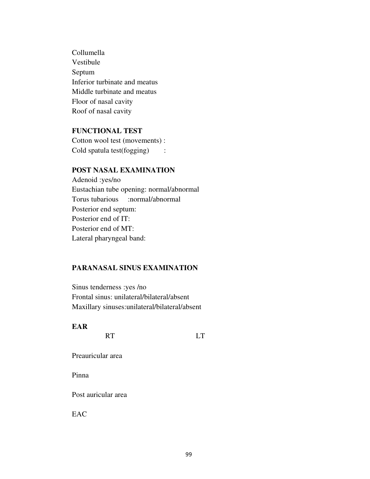Collumella Vestibule Septum Inferior turbinate and meatus Middle turbinate and meatus Floor of nasal cavity Roof of nasal cavity

#### **FUNCTIONAL TEST**

Cotton wool test (movements) : Cold spatula test(fogging) :

### **POST NASAL EXAMINATION**

Adenoid :yes/no Eustachian tube opening: normal/abnormal Torus tubarious :normal/abnormal Posterior end septum: Posterior end of IT: Posterior end of MT: Lateral pharyngeal band:

#### **PARANASAL SINUS EXAMINATION**

Sinus tenderness :yes /no Frontal sinus: unilateral/bilateral/absent Maxillary sinuses:unilateral/bilateral/absent

#### **EAR**

RT LT

Preauricular area

Pinna

Post auricular area

EAC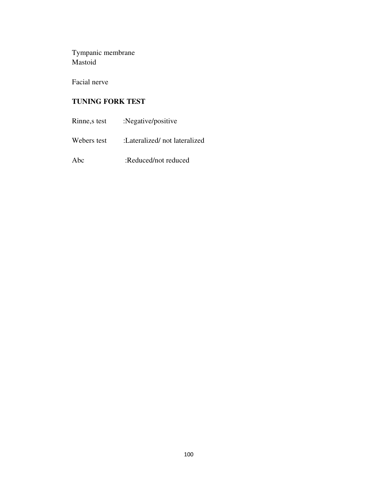Tympanic membrane Mastoid

Facial nerve

## **TUNING FORK TEST**

| Rinne, stest | :Negative/positive            |
|--------------|-------------------------------|
| Webers test  | :Lateralized/ not lateralized |
| Abc          | :Reduced/not reduced          |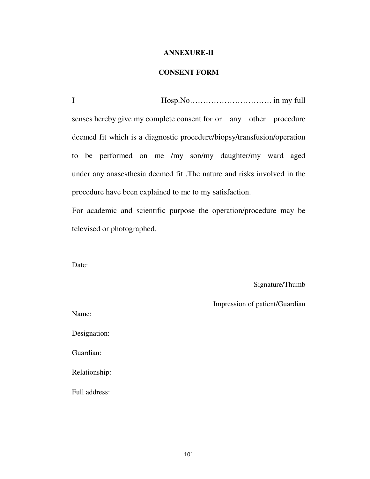#### **ANNEXURE-II**

#### **CONSENT FORM**

I Hosp.No…………………………. in my full senses hereby give my complete consent for or any other procedure deemed fit which is a diagnostic procedure/biopsy/transfusion/operation to be performed on me /my son/my daughter/my ward aged under any anasesthesia deemed fit .The nature and risks involved in the procedure have been explained to me to my satisfaction.

For academic and scientific purpose the operation/procedure may be televised or photographed.

Date:

Signature/Thumb

Impression of patient/Guardian

Name: Designation: Guardian: Relationship:

Full address: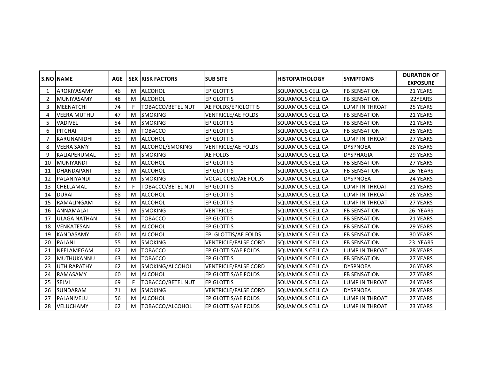|    | <b>S.NO NAME</b>    | <b>AGE</b> |   | <b>SEX IRISK FACTORS</b> | <b>SUB SITE</b>             | <b>IHISTOPATHOLOGY</b>    | <b>ISYMPTOMS</b>      | <b>DURATION OF</b><br><b>EXPOSURE</b> |
|----|---------------------|------------|---|--------------------------|-----------------------------|---------------------------|-----------------------|---------------------------------------|
| 1  | AROKIYASAMY         | 46         | M | <b>ALCOHOL</b>           | <b>EPIGLOTTIS</b>           | <b>SQUAMOUS CELL CA</b>   | <b>FB SENSATION</b>   | 21 YEARS                              |
| 2  | <b>MUNIYASAMY</b>   | 48         | M | <b>ALCOHOL</b>           | <b>EPIGLOTTIS</b>           | <b>SQUAMOUS CELL CA</b>   | <b>FB SENSATION</b>   | 22YEARS                               |
| 3  | <b>MEENATCHI</b>    | 74         | F | <b>TOBACCO/BETEL NUT</b> | AE FOLDS/EPIGLOTTIS         | <b>SQUAMOUS CELL CA</b>   | LUMP IN THROAT        | 25 YEARS                              |
| 4  | <b>VEERA MUTHU</b>  | 47         | M | <b>SMOKING</b>           | <b>VENTRICLE/AE FOLDS</b>   | SQUAMOUS CELL CA          | <b>FB SENSATION</b>   | 21 YEARS                              |
| 5  | <b>VADIVEL</b>      | 54         | M | <b>SMOKING</b>           | <b>EPIGLOTTIS</b>           | SOUAMOUS CELL CA          | <b>FB SENSATION</b>   | 21 YEARS                              |
| 6  | <b>PITCHAI</b>      | 56         | M | <b>TOBACCO</b>           | <b>EPIGLOTTIS</b>           | <b>SQUAMOUS CELL CA</b>   | <b>FB SENSATION</b>   | 25 YEARS                              |
| 7  | KARUNANIDHI         | 59         | M | <b>ALCOHOL</b>           | <b>EPIGLOTTIS</b>           | <b>SOUAMOUS CELL CA</b>   | LUMP IN THROAT        | 27 YEARS                              |
| 8  | <b>VEERA SAMY</b>   | 61         | M | ALCOHOL/SMOKING          | <b>VENTRICLE/AE FOLDS</b>   | <b>SQUAMOUS CELL CA</b>   | <b>DYSPNOEA</b>       | 28 YEARS                              |
| 9  | KALIAPERUMAL        | 59         | M | <b>SMOKING</b>           | AE FOLDS                    | <b>SQUAMOUS CELL CA</b>   | <b>DYSPHAGIA</b>      | 29 YEARS                              |
| 10 | <b>MUNIYANDI</b>    | 62         | M | <b>ALCOHOL</b>           | <b>EPIGLOTTIS</b>           | <b>SQUAMOUS CELL CA</b>   | <b>FB SENSATION</b>   | 27 YEARS                              |
| 11 | DHANDAPANI          | 58         | M | <b>ALCOHOL</b>           | <b>EPIGLOTTIS</b>           | <b>SQUAMOUS CELL CA</b>   | <b>FB SENSATION</b>   | 26 YEARS                              |
| 12 | PALANIYANDI         | 52         | M | <b>SMOKING</b>           | <b>VOCAL CORD/AE FOLDS</b>  | SOUAMOUS CELL CA          | <b>DYSPNOEA</b>       | 24 YEARS                              |
| 13 | CHELLAMAL           | 67         | F | <b>TOBACCO/BETEL NUT</b> | <b>EPIGLOTTIS</b>           | SQUAMOUS CELL CA          | <b>LUMP IN THROAT</b> | 21 YEARS                              |
| 14 | <b>DURAI</b>        | 68         | M | <b>ALCOHOL</b>           | <b>EPIGLOTTIS</b>           | <b>SQUAMOUS CELL CA</b>   | LUMP IN THROAT        | 26 YEARS                              |
| 15 | <b>RAMALINGAM</b>   | 62         | M | <b>ALCOHOL</b>           | <b>EPIGLOTTIS</b>           | SQUAMOUS CELL CA          | <b>LUMP IN THROAT</b> | 27 YEARS                              |
| 16 | ANNAMALAI           | 55         | M | <b>SMOKING</b>           | <b>VENTRICLE</b>            | SQUAMOUS CELL CA          | <b>FB SENSATION</b>   | 26 YEARS                              |
| 17 | <b>ULAGA NATHAN</b> | 54         | M | <b>TOBACCO</b>           | <b>EPIGLOTTIS</b>           | <b>SQUAMOUS CELL CA</b>   | <b>FB SENSATION</b>   | 21 YEARS                              |
| 18 | VENKATESAN          | 58         | M | <b>ALCOHOL</b>           | <b>EPIGLOTTIS</b>           | <b>SQUAMOUS CELL CA</b>   | <b>FB SENSATION</b>   | 29 YEARS                              |
| 19 | <b>KANDASAMY</b>    | 60         | M | <b>ALCOHOL</b>           | EPI GLOTTIS/AE FOLDS        | <b>SQUAMOUS CELL CA</b>   | <b>FB SENSATION</b>   | 30 YEARS                              |
| 20 | <b>PALANI</b>       | 55         | M | <b>SMOKING</b>           | <b>VENTRICLE/FALSE CORD</b> | <b>SQUAMOUS CELL CA</b>   | <b>FB SENSATION</b>   | 23 YEARS                              |
| 21 | NEELAMEGAM          | 62         | M | <b>TOBACCO</b>           | <b>EPIGLOTTIS/AE FOLDS</b>  | <b>SQUAMOUS CELL CA</b>   | <b>LUMP IN THROAT</b> | 28 YEARS                              |
| 22 | MUTHUKANNU          | 63         | M | <b>TOBACCO</b>           | <b>EPIGLOTTIS</b>           | <b>SQUAMOUS CELL CA</b>   | <b>FB SENSATION</b>   | 27 YEARS                              |
| 23 | <b>UTHIRAPATHY</b>  | 62         | M | SMOKING/ALCOHOL          | <b>VENTRICLE/FALSE CORD</b> | <b>I</b> SQUAMOUS CELL CA | <b>DYSPNOEA</b>       | 26 YEARS                              |
| 24 | RAMASAMY            | 60         | M | <b>ALCOHOL</b>           | <b>EPIGLOTTIS/AE FOLDS</b>  | <b>SQUAMOUS CELL CA</b>   | <b>FB SENSATION</b>   | 27 YEARS                              |
| 25 | <b>SELVI</b>        | 69         | F | <b>TOBACCO/BETEL NUT</b> | <b>EPIGLOTTIS</b>           | <b>SOUAMOUS CELL CA</b>   | LUMP IN THROAT        | 24 YEARS                              |
| 26 | SUNDARAM            | 71         | M | <b>SMOKING</b>           | <b>VENTRICLE/FALSE CORD</b> | <b>SQUAMOUS CELL CA</b>   | <b>DYSPNOEA</b>       | 28 YEARS                              |
| 27 | PALANIVELU          | 56         | M | <b>ALCOHOL</b>           | <b>EPIGLOTTIS/AE FOLDS</b>  | <b>I</b> SQUAMOUS CELL CA | <b>LUMP IN THROAT</b> | 27 YEARS                              |
| 28 | <b>VELUCHAMY</b>    | 62         | M | TOBACCO/ALCOHOL          | <b>EPIGLOTTIS/AE FOLDS</b>  | <b>SQUAMOUS CELL CA</b>   | <b>LUMP IN THROAT</b> | 23 YEARS                              |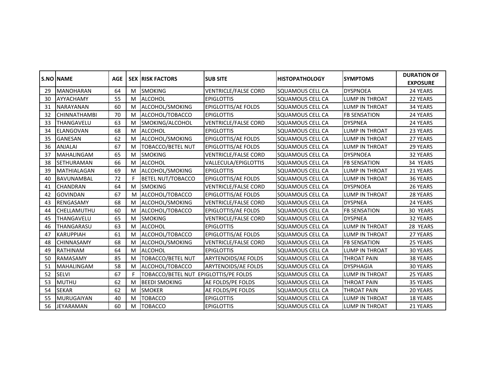|    | <b>S.NO NAME</b>    | <b>AGE</b> |   | <b>SEX IRISK FACTORS</b> | <b>SUB SITE</b>                                           | <b>HISTOPATHOLOGY</b>   | <b>ISYMPTOMS</b>      | <b>DURATION OF</b><br><b>EXPOSURE</b> |
|----|---------------------|------------|---|--------------------------|-----------------------------------------------------------|-------------------------|-----------------------|---------------------------------------|
| 29 | <b>MANOHARAN</b>    | 64         | M | <b>SMOKING</b>           | <b>VENTRICLE/FALSE CORD</b>                               | <b>SQUAMOUS CELL CA</b> | <b>DYSPNOEA</b>       | 24 YEARS                              |
| 30 | <b>AYYACHAMY</b>    | 55         | M | <b>ALCOHOL</b>           | <b>EPIGLOTTIS</b>                                         | <b>SQUAMOUS CELL CA</b> | LUMP IN THROAT        | 22 YEARS                              |
| 31 | NARAYANAN           | 60         | M | ALCOHOL/SMOKING          | EPIGLOTTIS/AE FOLDS                                       | SQUAMOUS CELL CA        | LUMP IN THROAT        | 34 YEARS                              |
| 32 | <b>CHINNATHAMBI</b> | 70         | M | ALCOHOL/TOBACCO          | <b>EPIGLOTTIS</b>                                         | <b>SQUAMOUS CELL CA</b> | <b>FB SENSATION</b>   | 24 YEARS                              |
| 33 | THANGAVELU          | 63         | M | SMOKING/ALCOHOL          | <b>VENTRICLE/FALSE CORD</b>                               | <b>SQUAMOUS CELL CA</b> | <b>DYSPNEA</b>        | 24 YEARS                              |
| 34 | <b>ELANGOVAN</b>    | 68         | M | <b>ALCOHOL</b>           | <b>EPIGLOTTIS</b>                                         | <b>SQUAMOUS CELL CA</b> | LUMP IN THROAT        | 23 YEARS                              |
| 35 | <b>GANESAN</b>      | 62         | M | ALCOHOL/SMOKING          | <b>EPIGLOTTIS/AE FOLDS</b>                                | <b>SQUAMOUS CELL CA</b> | <b>LUMP IN THROAT</b> | 27 YEARS                              |
| 36 | <b>ANJALAI</b>      | 67         | M | TOBACCO/BETEL NUT        | <b>EPIGLOTTIS/AE FOLDS</b>                                | <b>SQUAMOUS CELL CA</b> | <b>LUMP IN THROAT</b> | 29 YEARS                              |
| 37 | <b>MAHALINGAM</b>   | 65         | M | <b>SMOKING</b>           | VENTRICLE/FALSE CORD                                      | SQUAMOUS CELL CA        | <b>DYSPNOEA</b>       | 32 YEARS                              |
| 38 | SETHURAMAN          | 66         | M | <b>ALCOHOL</b>           | VALLECULA/EPIGLOTTIS                                      | <b>SQUAMOUS CELL CA</b> | <b>FB SENSATION</b>   | 34 YEARS                              |
| 39 | <b>MATHIALAGAN</b>  | 69         | м | ALCOHOL/SMOKING          | <b>EPIGLOTTIS</b>                                         | SQUAMOUS CELL CA        | <b>LUMP IN THROAT</b> | 21 YEARS                              |
| 40 | <b>BAVUNAMBAL</b>   | 72         | E | <b>BETEL NUT/TOBACCO</b> | <b>EPIGLOTTIS/AE FOLDS</b>                                | <b>SQUAMOUS CELL CA</b> | <b>LUMP IN THROAT</b> | 36 YEARS                              |
| 41 | CHANDRAN            | 64         | M | <b>SMOKING</b>           | <b>VENTRICLE/FALSE CORD</b>                               | SQUAMOUS CELL CA        | <b>DYSPNOEA</b>       | 26 YEARS                              |
| 42 | <b>GOVINDAN</b>     | 67         | M | ALCOHOL/TOBACCO          | <b>EPIGLOTTIS/AE FOLDS</b>                                | SOUAMOUS CELL CA        | LUMP IN THROAT        | 28 YEARS                              |
| 43 | RENGASAMY           | 68         | M | ALCOHOL/SMOKING          | <b>VENTRICLE/FALSE CORD</b>                               | <b>SQUAMOUS CELL CA</b> | <b>DYSPNEA</b>        | 24 YEARS                              |
| 44 | CHELLAMUTHU         | 60         | M | ALCOHOL/TOBACCO          | <b>EPIGLOTTIS/AE FOLDS</b>                                | <b>SQUAMOUS CELL CA</b> | <b>FB SENSATION</b>   | 30 YEARS                              |
| 45 | THANGAVELU          | 65         | M | <b>SMOKING</b>           | VENTRICLE/FALSE CORD                                      | <b>SQUAMOUS CELL CA</b> | <b>DYSPNEA</b>        | 32 YEARS                              |
| 46 | <b>THANGARASU</b>   | 63         | M | <b>ALCOHOL</b>           | <b>EPIGLOTTIS</b>                                         | SQUAMOUS CELL CA        | LUMP IN THROAT        | 28 YEARS                              |
| 47 | <b>KARUPPIAH</b>    | 61         | M | ALCOHOL/TOBACCO          | <b>EPIGLOTTIS/AE FOLDS</b>                                | <b>SQUAMOUS CELL CA</b> | LUMP IN THROAT        | 27 YEARS                              |
| 48 | CHINNASAMY          | 68         | M | ALCOHOL/SMOKING          | <b>VENTRICLE/FALSE CORD</b>                               | <b>SQUAMOUS CELL CA</b> | <b>FB SENSATION</b>   | 25 YEARS                              |
| 49 | <b>RATHINAM</b>     | 64         | M | <b>ALCOHOL</b>           | <b>EPIGLOTTIS</b>                                         | <b>SQUAMOUS CELL CA</b> | LUMP IN THROAT        | 30 YEARS                              |
| 50 | <b>RAMASAMY</b>     | 85         | M | TOBACCO/BETEL NUT        | <b>ARYTENOIDS/AE FOLDS</b>                                | <b>SQUAMOUS CELL CA</b> | <b>THROAT PAIN</b>    | 38 YEARS                              |
| 51 | <b>MAHALINGAM</b>   | 58         | M | ALCOHOL/TOBACCO          | <b>ARYTENOIDS/AE FOLDS</b>                                | <b>SQUAMOUS CELL CA</b> | <b>DYSPHAGIA</b>      | <b>30 YEARS</b>                       |
| 52 | <b>SELVI</b>        | 67         | F |                          | TOBACCO/BETEL NUT EPIGLOTTIS/PE FOLDS<br>SQUAMOUS CELL CA |                         | <b>LUMP IN THROAT</b> | 25 YEARS                              |
| 53 | <b>MUTHU</b>        | 62         | M | <b>BEEDI SMOKING</b>     | AE FOLDS/PE FOLDS                                         | <b>SQUAMOUS CELL CA</b> | <b>THROAT PAIN</b>    | 35 YEARS                              |
| 54 | <b>SEKAR</b>        | 62         | M | <b>SMOKER</b>            | AE FOLDS/PE FOLDS                                         | <b>SQUAMOUS CELL CA</b> | <b>THROAT PAIN</b>    | 20 YEARS                              |
| 55 | <b>MURUGAIYAN</b>   | 40         | M | TOBACCO                  | <b>EPIGLOTTIS</b>                                         | <b>SQUAMOUS CELL CA</b> | LUMP IN THROAT        | <b>18 YEARS</b>                       |
| 56 | <b>JEYARAMAN</b>    | 60         | м | <b>TOBACCO</b>           | <b>EPIGLOTTIS</b>                                         | SQUAMOUS CELL CA        | LUMP IN THROAT        | 21 YEARS                              |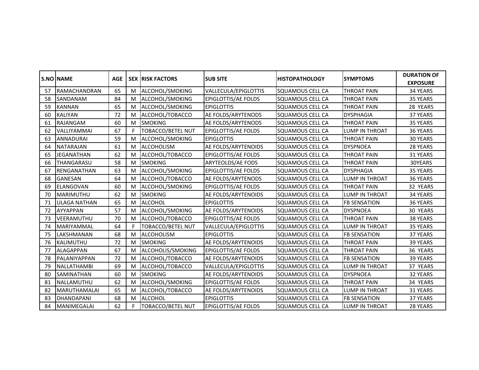|    | <b>S.NO NAME</b>    | <b>AGE</b> |   | <b>SEX IRISK FACTORS</b> | <b>SUB SITE</b>            | <b>HISTOPATHOLOGY</b>   | <b>SYMPTOMS</b>       | <b>DURATION OF</b><br><b>EXPOSURE</b> |
|----|---------------------|------------|---|--------------------------|----------------------------|-------------------------|-----------------------|---------------------------------------|
| 57 | <b>RAMACHANDRAN</b> | 65         | M | ALCOHOL/SMOKING          | VALLECULA/EPIGLOTTIS       | SQUAMOUS CELL CA        | <b>THROAT PAIN</b>    | 34 YEARS                              |
| 58 | <b>SANDANAM</b>     | 84         | M | ALCOHOL/SMOKING          | <b>EPIGLOTTIS/AE FOLDS</b> | SQUAMOUS CELL CA        | <b>THROAT PAIN</b>    | 35 YEARS                              |
| 59 | <b>KANNAN</b>       | 65         | M | ALCOHOL/SMOKING          | <b>EPIGLOTTIS</b>          | SQUAMOUS CELL CA        | <b>THROAT PAIN</b>    | 28 YEARS                              |
| 60 | <b>KALIYAN</b>      | 72         | M | ALCOHOL/TOBACCO          | AE FOLDS/ARYTENODS         | SQUAMOUS CELL CA        | <b>DYSPHAGIA</b>      | 37 YEARS                              |
| 61 | RAJANGAM            | 60         | M | <b>SMOKING</b>           | AE FOLDS/ARYTENODS         | SQUAMOUS CELL CA        | <b>THROAT PAIN</b>    | 35 YEARS                              |
| 62 | <b>VALLIYAMMAI</b>  | 67         | F | TOBACCO/BETEL NUT        | <b>EPIGLOTTIS/AE FOLDS</b> | <b>SQUAMOUS CELL CA</b> | <b>LUMP IN THROAT</b> | 36 YEARS                              |
| 63 | <b>ANNADURAI</b>    | 59         | M | ALCOHOL/SMOKING          | <b>EPIGLOTTIS</b>          | SQUAMOUS CELL CA        | THROAT PAIN           | 30 YEARS                              |
| 64 | <b>NATARAJAN</b>    | 61         | M | ALCOHOLISM               | AE FOLDS/ARYTENOIDS        | SQUAMOUS CELL CA        | <b>DYSPNOEA</b>       | 28 YEARS                              |
| 65 | JEGANATHAN          | 62         | M | ALCOHOL/TOBACCO          | <b>EPIGLOTTIS/AE FOLDS</b> | SQUAMOUS CELL CA        | THROAT PAIN           | 31 YEARS                              |
| 66 | THANGARASU          | 58         | M | <b>SMOKING</b>           | <b>ARYTEOLDS/AE FODS</b>   | <b>SQUAMOUS CELL CA</b> | <b>THROAT PAIN</b>    | 30YEARS                               |
| 67 | <b>RENGANATHAN</b>  | 63         | M | ALCOHOL/SMOKING          | <b>EPIGLOTTIS/AE FOLDS</b> | <b>SQUAMOUS CELL CA</b> | <b>DYSPHAGIA</b>      | 35 YEARS                              |
| 68 | <b>GANESAN</b>      | 64         | M | ALCOHOL/TOBACCO          | AE FOLDS/ARYTENODS         | <b>SQUAMOUS CELL CA</b> | <b>LUMP IN THROAT</b> | 36 YEARS                              |
| 69 | <b>ELANGOVAN</b>    | 60         | M | ALCOHOL/SMOKING          | <b>EPIGLOTTIS/AE FOLDS</b> | SQUAMOUS CELL CA        | <b>THROAT PAIN</b>    | 32 YEARS                              |
| 70 | <b>MARIMUTHU</b>    | 62         | M | <b>SMOKING</b>           | AE FOLDS/ARYTENOIDS        | SQUAMOUS CELL CA        | LUMP IN THROAT        | 34 YEARS                              |
| 71 | ULAGA NATHAN        | 65         | M | <b>ALCOHOL</b>           | <b>EPIGLOTTIS</b>          | SQUAMOUS CELL CA        | <b>FB SENSATION</b>   | 36 YEARS                              |
| 72 | AYYAPPAN            | 57         | M | ALCOHOL/SMOKING          | AE FOLDS/ARYTENOIDS        | SQUAMOUS CELL CA        | <b>DYSPNOEA</b>       | 30 YEARS                              |
| 73 | <b>VEERAMUTHU</b>   | 70         | M | ALCOHOL/TOBACCO          | <b>EPIGLOTTIS/AE FOLDS</b> | SQUAMOUS CELL CA        | <b>THROAT PAIN</b>    | 38 YEARS                              |
| 74 | MARIYAMMAL          | 64         | F | TOBACCO/BETEL NUT        | VALLECULA/EPIGLOTTIS       | SQUAMOUS CELL CA        | <b>LUMP IN THROAT</b> | 35 YEARS                              |
| 75 | LAKSHMANAN          | 68         | M | <b>ALCOHOLISM</b>        | <b>EPIGLOTTIS</b>          | SQUAMOUS CELL CA        | <b>FB SENSATION</b>   | 37 YEARS                              |
| 76 | KALIMUTHU           | 72         | M | <b>SMOKING</b>           | AE FOLDS/ARYTENOIDS        | SQUAMOUS CELL CA        | <b>THROAT PAIN</b>    | 39 YEARS                              |
| 77 | <b>ALAGAPPAN</b>    | 67         | M | ALCOHOLIS/SMOKING        | <b>EPIGLOTTIS/AE FOLDS</b> | SQUAMOUS CELL CA        | <b>THROAT PAIN</b>    | 36 YEARS                              |
| 78 | PALANIYAPPAN        | 72         | M | ALCOHOL/TOBACCO          | AE FOLDS/ARYTENOIDS        | SQUAMOUS CELL CA        | <b>FB SENSATION</b>   | 39 YEARS                              |
| 79 | <b>NALLATHAMBI</b>  | 69         | M | ALCOHOL/TOBACCO          | VALLECULA/EPIGLOTTIS       | SQUAMOUS CELL CA        | <b>LUMP IN THROAT</b> | 37 YEARS                              |
| 80 | SAMINATHAN          | 60         | M | <b>SMOKING</b>           | AE FOLDS/ARYTENOIDS        | SOUAMOUS CELL CA        | <b>DYSPNOEA</b>       | 32 YEARS                              |
| 81 | <b>NALLAMUTHU</b>   | 62         | M | ALCOHOL/SMOKING          | <b>EPIGLOTTIS/AE FOLDS</b> | SQUAMOUS CELL CA        | <b>THROAT PAIN</b>    | 34 YEARS                              |
| 82 | MARUTHAMALAI        | 65         | M | ALCOHOL/TOBACCO          | AE FOLDS/ARYTENOIDS        | <b>SQUAMOUS CELL CA</b> | LUMP IN THROAT        | 31 YEARS                              |
| 83 | <b>DHANDAPANI</b>   | 68         | M | <b>ALCOHOL</b>           | <b>EPIGLOTTIS</b>          | SQUAMOUS CELL CA        | <b>FB SENSATION</b>   | 37 YEARS                              |
| 84 | <b>MANIMEGALAI</b>  | 62         | F | TOBACCO/BETEL NUT        | <b>EPIGLOTTIS/AE FOLDS</b> | SQUAMOUS CELL CA        | <b>LUMP IN THROAT</b> | 28 YEARS                              |